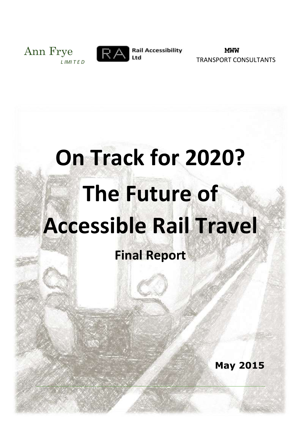



**Rail Accessibility** 

**MWW** TRANSPORT CONSULTANTS

# **On Track for 2020? The Future of Accessible Rail Travel**

# **Final Report**

**May 2015**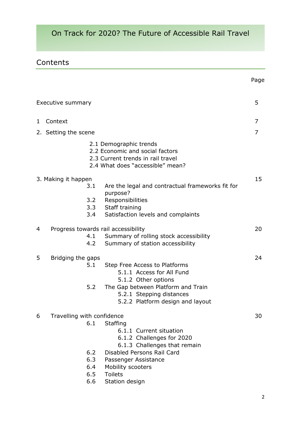# **Contents**

|   |                                     |            |                                                                                                                                    | Page |  |
|---|-------------------------------------|------------|------------------------------------------------------------------------------------------------------------------------------------|------|--|
|   | Executive summary                   |            |                                                                                                                                    | 5    |  |
| 1 | Context                             |            |                                                                                                                                    | 7    |  |
|   | 2. Setting the scene                |            |                                                                                                                                    | 7    |  |
|   |                                     |            | 2.1 Demographic trends<br>2.2 Economic and social factors<br>2.3 Current trends in rail travel<br>2.4 What does "accessible" mean? |      |  |
|   | 3. Making it happen                 |            |                                                                                                                                    |      |  |
|   |                                     | 3.1        | Are the legal and contractual frameworks fit for                                                                                   |      |  |
|   |                                     | 3.2<br>3.4 | purpose?<br>Responsibilities<br>3.3 Staff training<br>Satisfaction levels and complaints                                           |      |  |
| 4 | Progress towards rail accessibility |            |                                                                                                                                    |      |  |
|   |                                     | 4.1<br>4.2 | Summary of rolling stock accessibility<br>Summary of station accessibility                                                         |      |  |
| 5 | Bridging the gaps                   |            |                                                                                                                                    | 24   |  |
|   |                                     | 5.1        | Step Free Access to Platforms<br>5.1.1 Access for All Fund<br>5.1.2 Other options                                                  |      |  |
|   |                                     | 5.2        | The Gap between Platform and Train<br>5.2.1 Stepping distances<br>5.2.2 Platform design and layout                                 |      |  |
| 6 | Travelling with confidence          |            |                                                                                                                                    |      |  |
|   |                                     | 6.1        | <b>Staffing</b><br>6.1.1 Current situation<br>6.1.2 Challenges for 2020<br>6.1.3 Challenges that remain                            |      |  |
|   |                                     | 6.2        | Disabled Persons Rail Card                                                                                                         |      |  |
|   |                                     | 6.3        | Passenger Assistance                                                                                                               |      |  |
|   |                                     | 6.4<br>6.5 | Mobility scooters<br><b>Toilets</b>                                                                                                |      |  |
|   |                                     | 6.6        | Station design                                                                                                                     |      |  |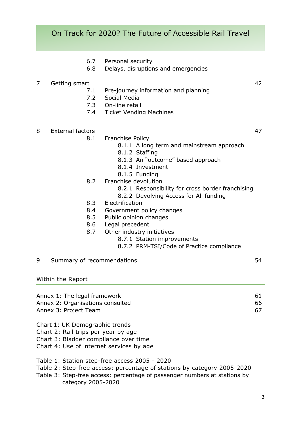- 6.7 Personal security
- 6.8 Delays, disruptions and emergencies

#### 7 Getting smart 42

- 7.1 Pre-journey information and planning
- 7.2 Social Media
- 7.3 On-line retail
- 7.4 Ticket Vending Machines
- 8 External factors 47
	- 8.1 Franchise Policy
		- 8.1.1 A long term and mainstream approach
		- 8.1.2 Staffing
		- 8.1.3 An "outcome" based approach
		- 8.1.4 Investment
		- 8.1.5 Funding
	- 8.2 Franchise devolution
		- 8.2.1 Responsibility for cross border franchising
		- 8.2.2 Devolving Access for All funding
	- 8.3 Electrification
	- 8.4 Government policy changes
	- 8.5 Public opinion changes
	- 8.6 Legal precedent
	- 8.7 Other industry initiatives
		- 8.7.1 Station improvements
		- 8.7.2 PRM-TSI/Code of Practice compliance
- 9 Summary of recommendations 64

Within the Report

| Annex 1: The legal framework     | -61 |
|----------------------------------|-----|
| Annex 2: Organisations consulted | 66. |
| Annex 3: Project Team            | 67. |

- Chart 1: UK Demographic trends
- Chart 2: Rail trips per year by age
- Chart 3: Bladder compliance over time
- Chart 4: Use of internet services by age
- Table 1: Station step-free access 2005 2020
- Table 2: Step-free access: percentage of stations by category 2005-2020
- Table 3: Step-free access: percentage of passenger numbers at stations by category 2005-2020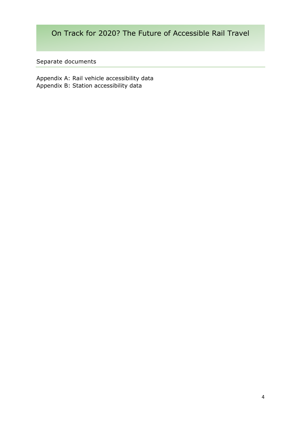Separate documents

Appendix A: Rail vehicle accessibility data Appendix B: Station accessibility data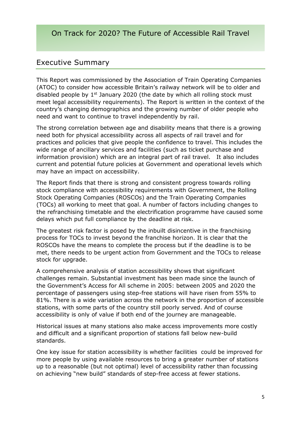# Executive Summary

This Report was commissioned by the Association of Train Operating Companies (ATOC) to consider how accessible Britain's railway network will be to older and disabled people by  $1<sup>st</sup>$  January 2020 (the date by which all rolling stock must meet legal accessibility requirements). The Report is written in the context of the country's changing demographics and the growing number of older people who need and want to continue to travel independently by rail.

The strong correlation between age and disability means that there is a growing need both for physical accessibility across all aspects of rail travel and for practices and policies that give people the confidence to travel. This includes the wide range of ancillary services and facilities (such as ticket purchase and information provision) which are an integral part of rail travel. It also includes current and potential future policies at Government and operational levels which may have an impact on accessibility.

The Report finds that there is strong and consistent progress towards rolling stock compliance with accessibility requirements with Government, the Rolling Stock Operating Companies (ROSCOs) and the Train Operating Companies (TOCs) all working to meet that goal. A number of factors including changes to the refranchising timetable and the electrification programme have caused some delays which put full compliance by the deadline at risk.

The greatest risk factor is posed by the inbuilt disincentive in the franchising process for TOCs to invest beyond the franchise horizon. It is clear that the ROSCOs have the means to complete the process but if the deadline is to be met, there needs to be urgent action from Government and the TOCs to release stock for upgrade.

A comprehensive analysis of station accessibility shows that significant challenges remain. Substantial investment has been made since the launch of the Government's Access for All scheme in 2005: between 2005 and 2020 the percentage of passengers using step-free stations will have risen from 55% to 81%. There is a wide variation across the network in the proportion of accessible stations, with some parts of the country still poorly served. And of course accessibility is only of value if both end of the journey are manageable.

Historical issues at many stations also make access improvements more costly and difficult and a significant proportion of stations fall below new-build standards.

One key issue for station accessibility is whether facilities could be improved for more people by using available resources to bring a greater number of stations up to a reasonable (but not optimal) level of accessibility rather than focussing on achieving "new build" standards of step-free access at fewer stations.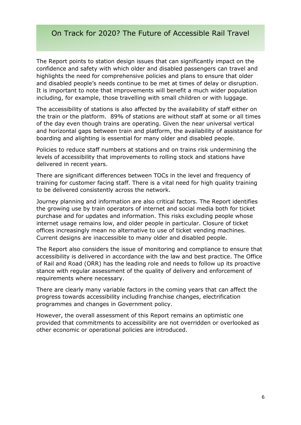The Report points to station design issues that can significantly impact on the confidence and safety with which older and disabled passengers can travel and highlights the need for comprehensive policies and plans to ensure that older and disabled people's needs continue to be met at times of delay or disruption. It is important to note that improvements will benefit a much wider population including, for example, those travelling with small children or with luggage.

The accessibility of stations is also affected by the availability of staff either on the train or the platform. 89% of stations are without staff at some or all times of the day even though trains are operating. Given the near universal vertical and horizontal gaps between train and platform, the availability of assistance for boarding and alighting is essential for many older and disabled people.

Policies to reduce staff numbers at stations and on trains risk undermining the levels of accessibility that improvements to rolling stock and stations have delivered in recent years.

There are significant differences between TOCs in the level and frequency of training for customer facing staff. There is a vital need for high quality training to be delivered consistently across the network.

Journey planning and information are also critical factors. The Report identifies the growing use by train operators of internet and social media both for ticket purchase and for updates and information. This risks excluding people whose internet usage remains low, and older people in particular. Closure of ticket offices increasingly mean no alternative to use of ticket vending machines. Current designs are inaccessible to many older and disabled people.

The Report also considers the issue of monitoring and compliance to ensure that accessibility is delivered in accordance with the law and best practice. The Office of Rail and Road (ORR) has the leading role and needs to follow up its proactive stance with regular assessment of the quality of delivery and enforcement of requirements where necessary.

There are clearly many variable factors in the coming years that can affect the progress towards accessibility including franchise changes, electrification programmes and changes in Government policy.

However, the overall assessment of this Report remains an optimistic one provided that commitments to accessibility are not overridden or overlooked as other economic or operational policies are introduced.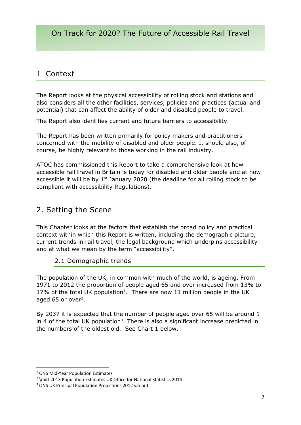# 1 Context

The Report looks at the physical accessibility of rolling stock and stations and also considers all the other facilities, services, policies and practices (actual and potential) that can affect the ability of older and disabled people to travel.

The Report also identifies current and future barriers to accessibility.

The Report has been written primarily for policy makers and practitioners concerned with the mobility of disabled and older people. It should also, of course, be highly relevant to those working in the rail industry.

ATOC has commissioned this Report to take a comprehensive look at how accessible rail travel in Britain is today for disabled and older people and at how accessible it will be by  $1<sup>st</sup>$  January 2020 (the deadline for all rolling stock to be compliant with accessibility Regulations).

# 2. Setting the Scene

This Chapter looks at the factors that establish the broad policy and practical context within which this Report is written, including the demographic picture, current trends in rail travel, the legal background which underpins accessibility and at what we mean by the term "accessibility".

#### 2.1 Demographic trends

The population of the UK, in common with much of the world, is ageing. From 1971 to 2012 the proportion of people aged 65 and over increased from 13% to 17% of the total UK population<sup>1</sup>. There are now 11 million people in the UK aged 65 or over<sup>2</sup>.

By 2037 it is expected that the number of people aged over 65 will be around 1 in 4 of the total UK population<sup>3</sup>. There is also a significant increase predicted in the numbers of the oldest old. See Chart 1 below.

<sup>1</sup> ONS Mid-Year Population Estimates

<sup>&</sup>lt;sup>2</sup> \mid-2013 Population Estimates UK Office for National Statistics 2014

<sup>3</sup> ONS UK Principal Population Projections 2012 variant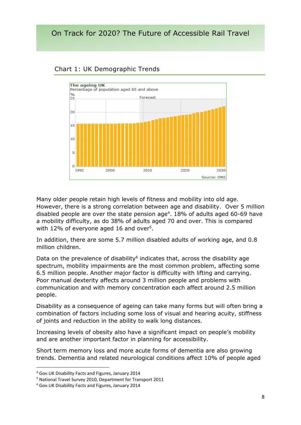

#### Chart 1: UK Demographic Trends

Many older people retain high levels of fitness and mobility into old age. However, there is a strong correlation between age and disability. Over 5 million disabled people are over the state pension age<sup>4</sup>. 18% of adults aged 60-69 have a mobility difficulty, as do 38% of adults aged 70 and over. This is compared with 12% of everyone aged 16 and over<sup>5</sup>.

In addition, there are some 5.7 million disabled adults of working age, and 0.8 million children.

Data on the prevalence of disability $6$  indicates that, across the disability age spectrum, mobility impairments are the most common problem, affecting some 6.5 million people. Another major factor is difficulty with lifting and carrying. Poor manual dexterity affects around 3 million people and problems with communication and with memory concentration each affect around 2.5 million people.

Disability as a consequence of ageing can take many forms but will often bring a combination of factors including some loss of visual and hearing acuity, stiffness of joints and reduction in the ability to walk long distances.

Increasing levels of obesity also have a significant impact on people's mobility and are another important factor in planning for accessibility.

Short term memory loss and more acute forms of dementia are also growing trends. Dementia and related neurological conditions affect 10% of people aged

<sup>4</sup> Gov.UK Disability Facts and Figures, January 2014

<sup>5</sup> National Travel Survey 2010, Department for Transport 2011

<sup>6</sup> Gov.UK Disability Facts and Figures, January 2014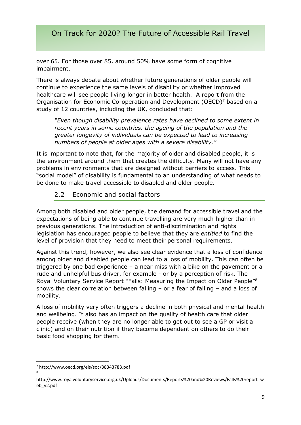over 65. For those over 85, around 50% have some form of cognitive impairment.

There is always debate about whether future generations of older people will continue to experience the same levels of disability or whether improved healthcare will see people living longer in better health. A report from the Organisation for Economic Co-operation and Development (OECD)<sup>7</sup> based on a study of 12 countries, including the UK, concluded that:

*"Even though disability prevalence rates have declined to some extent in recent years in some countries, the ageing of the population and the greater longevity of individuals can be expected to lead to increasing numbers of people at older ages with a severe disability."*

It is important to note that, for the majority of older and disabled people, it is the environment around them that creates the difficulty. Many will not have any problems in environments that are designed without barriers to access. This "social model" of disability is fundamental to an understanding of what needs to be done to make travel accessible to disabled and older people.

#### 2.2 Economic and social factors

Among both disabled and older people, the demand for accessible travel and the expectations of being able to continue travelling are very much higher than in previous generations. The introduction of anti-discrimination and rights legislation has encouraged people to believe that they are *entitled* to find the level of provision that they need to meet their personal requirements.

Against this trend, however, we also see clear evidence that a loss of confidence among older and disabled people can lead to a loss of mobility. This can often be triggered by one bad experience – a near miss with a bike on the pavement or a rude and unhelpful bus driver, for example - or by a perception of risk. The Royal Voluntary Service Report "Falls: Measuring the Impact on Older People"<sup>8</sup> shows the clear correlation between falling – or a fear of falling – and a loss of mobility.

A loss of mobility very often triggers a decline in both physical and mental health and wellbeing. It also has an impact on the quality of health care that older people receive (when they are no longer able to get out to see a GP or visit a clinic) and on their nutrition if they become dependent on others to do their basic food shopping for them.

<sup>7</sup> http://www.oecd.org/els/soc/38343783.pdf 8

http://www.royalvoluntaryservice.org.uk/Uploads/Documents/Reports%20and%20Reviews/Falls%20report\_w eb\_v2.pdf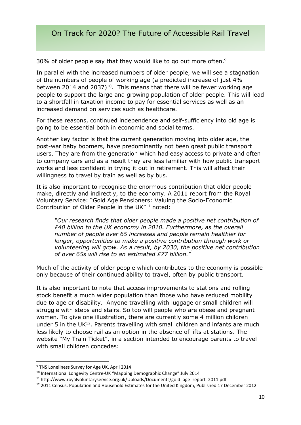30% of older people say that they would like to go out more often.<sup>9</sup>

In parallel with the increased numbers of older people, we will see a stagnation of the numbers of people of working age (a predicted increase of just 4% between 2014 and 2037)<sup>10</sup>. This means that there will be fewer working age people to support the large and growing population of older people. This will lead to a shortfall in taxation income to pay for essential services as well as an increased demand on services such as healthcare.

For these reasons, continued independence and self-sufficiency into old age is going to be essential both in economic and social terms.

Another key factor is that the current generation moving into older age, the post-war baby boomers, have predominantly not been great public transport users. They are from the generation which had easy access to private and often to company cars and as a result they are less familiar with how public transport works and less confident in trying it out in retirement. This will affect their willingness to travel by train as well as by bus.

It is also important to recognise the enormous contribution that older people make, directly and indirectly, to the economy. A 2011 report from the Royal Voluntary Service: "Gold Age Pensioners: Valuing the Socio-Economic Contribution of Older People in the UK"<sup>11</sup> noted:

*"Our research finds that older people made a positive net contribution of £40 billion to the UK economy in 2010. Furthermore, as the overall number of people over 65 increases and people remain healthier for longer, opportunities to make a positive contribution through work or volunteering will grow. As a result, by 2030, the positive net contribution of over 65s will rise to an estimated £77 billion."* 

Much of the activity of older people which contributes to the economy is possible only because of their continued ability to travel, often by public transport.

It is also important to note that access improvements to stations and rolling stock benefit a much wider population than those who have reduced mobility due to age or disability. Anyone travelling with luggage or small children will struggle with steps and stairs. So too will people who are obese and pregnant women. To give one illustration, there are currently some 4 million children under 5 in the UK $12$ . Parents travelling with small children and infants are much less likely to choose rail as an option in the absence of lifts at stations. The website "My Train Ticket", in a section intended to encourage parents to travel with small children concedes:

<sup>&</sup>lt;sup>9</sup> TNS Loneliness Survey for Age UK, April 2014

<sup>&</sup>lt;sup>10</sup> International Longevity Centre-UK "Mapping Demographic Change" July 2014

<sup>11</sup> http://www.royalvoluntaryservice.org.uk/Uploads/Documents/gold\_age\_report\_2011.pdf

<sup>12</sup> 2011 Census: Population and Household Estimates for the United Kingdom, Published 17 December 2012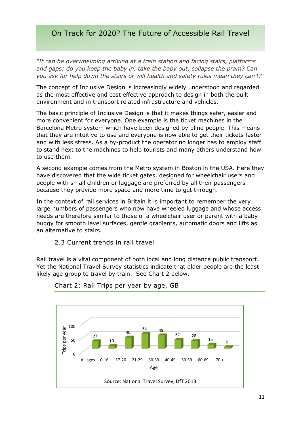*"It can be overwhelming arriving at a train station and facing stairs, platforms and gaps; do you keep the baby in, take the baby out, collapse the pram? Can you ask for help down the stairs or will health and safety rules mean they can't?"*

The concept of Inclusive Design is increasingly widely understood and regarded as the most effective and cost effective approach to design in both the built environment and in transport related infrastructure and vehicles.

The basic principle of Inclusive Design is that it makes things safer, easier and more convenient for everyone. One example is the ticket machines in the Barcelona Metro system which have been designed by blind people. This means that they are intuitive to use and everyone is now able to get their tickets faster and with less stress. As a by-product the operator no longer has to employ staff to stand next to the machines to help tourists and many others understand how to use them.

A second example comes from the Metro system in Boston in the USA. Here they have discovered that the wide ticket gates, designed for wheelchair users and people with small children or luggage are preferred by all their passengers because they provide more space and more time to get through.

In the context of rail services in Britain it is important to remember the very large numbers of passengers who now have wheeled luggage and whose access needs are therefore similar to those of a wheelchair user or parent with a baby buggy for smooth level surfaces, gentle gradients, automatic doors and lifts as an alternative to stairs.

#### 2.3 Current trends in rail travel

Rail travel is a vital component of both local and long distance public transport. Yet the National Travel Survey statistics indicate that older people are the least likely age group to travel by train. See Chart 2 below.



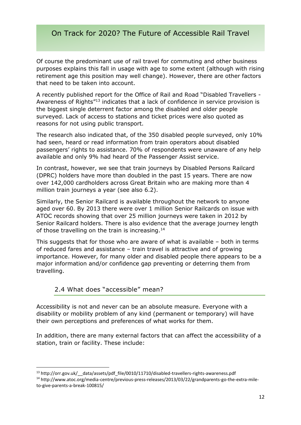Of course the predominant use of rail travel for commuting and other business purposes explains this fall in usage with age to some extent (although with rising retirement age this position may well change). However, there are other factors that need to be taken into account.

A recently published report for the Office of Rail and Road "Disabled Travellers - Awareness of Rights"<sup>13</sup> indicates that a lack of confidence in service provision is the biggest single deterrent factor among the disabled and older people surveyed. Lack of access to stations and ticket prices were also quoted as reasons for not using public transport.

The research also indicated that, of the 350 disabled people surveyed, only 10% had seen, heard or read information from train operators about disabled passengers' rights to assistance. 70% of respondents were unaware of any help available and only 9% had heard of the Passenger Assist service.

In contrast, however, we see that train journeys by Disabled Persons Railcard (DPRC) holders have more than doubled in the past 15 years. There are now over 142,000 cardholders across Great Britain who are making more than 4 million train journeys a year (see also 6.2).

Similarly, the Senior Railcard is available throughout the network to anyone aged over 60. By 2013 there were over 1 million Senior Railcards on issue with ATOC records showing that over 25 million journeys were taken in 2012 by Senior Railcard holders. There is also evidence that the average journey length of those travelling on the train is increasing.<sup>14</sup>

This suggests that for those who are aware of what is available – both in terms of reduced fares and assistance – train travel is attractive and of growing importance. However, for many older and disabled people there appears to be a major information and/or confidence gap preventing or deterring them from travelling.

#### 2.4 What does "accessible" mean?

**.** 

Accessibility is not and never can be an absolute measure. Everyone with a disability or mobility problem of any kind (permanent or temporary) will have their own perceptions and preferences of what works for them.

In addition, there are many external factors that can affect the accessibility of a station, train or facility. These include:

<sup>&</sup>lt;sup>13</sup> http://orr.gov.uk/ data/assets/pdf file/0010/11710/disabled-travellers-rights-awareness.pdf

<sup>14</sup> http://www.atoc.org/media-centre/previous-press-releases/2013/03/22/grandparents-go-the-extra-mileto-give-parents-a-break-100815/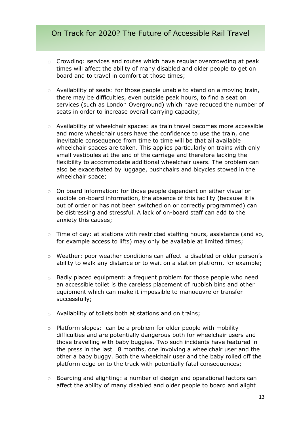- o Crowding: services and routes which have regular overcrowding at peak times will affect the ability of many disabled and older people to get on board and to travel in comfort at those times;
- $\circ$  Availability of seats: for those people unable to stand on a moving train, there may be difficulties, even outside peak hours, to find a seat on services (such as London Overground) which have reduced the number of seats in order to increase overall carrying capacity;
- $\circ$  Availability of wheelchair spaces: as train travel becomes more accessible and more wheelchair users have the confidence to use the train, one inevitable consequence from time to time will be that all available wheelchair spaces are taken. This applies particularly on trains with only small vestibules at the end of the carriage and therefore lacking the flexibility to accommodate additional wheelchair users. The problem can also be exacerbated by luggage, pushchairs and bicycles stowed in the wheelchair space;
- o On board information: for those people dependent on either visual or audible on-board information, the absence of this facility (because it is out of order or has not been switched on or correctly programmed) can be distressing and stressful. A lack of on-board staff can add to the anxiety this causes;
- o Time of day: at stations with restricted staffing hours, assistance (and so, for example access to lifts) may only be available at limited times;
- o Weather: poor weather conditions can affect a disabled or older person's ability to walk any distance or to wait on a station platform, for example;
- o Badly placed equipment: a frequent problem for those people who need an accessible toilet is the careless placement of rubbish bins and other equipment which can make it impossible to manoeuvre or transfer successfully;
- o Availability of toilets both at stations and on trains;
- o Platform slopes: can be a problem for older people with mobility difficulties and are potentially dangerous both for wheelchair users and those travelling with baby buggies. Two such incidents have featured in the press in the last 18 months, one involving a wheelchair user and the other a baby buggy. Both the wheelchair user and the baby rolled off the platform edge on to the track with potentially fatal consequences;
- o Boarding and alighting: a number of design and operational factors can affect the ability of many disabled and older people to board and alight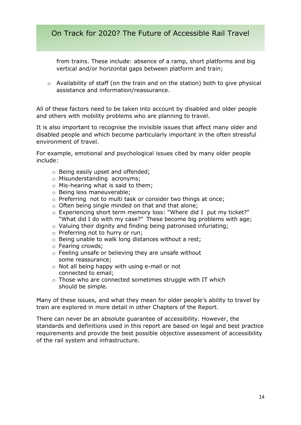from trains. These include: absence of a ramp, short platforms and big vertical and/or horizontal gaps between platform and train;

o Availability of staff (on the train and on the station) both to give physical assistance and information/reassurance.

All of these factors need to be taken into account by disabled and older people and others with mobility problems who are planning to travel.

It is also important to recognise the invisible issues that affect many older and disabled people and which become particularly important in the often stressful environment of travel.

For example, emotional and psychological issues cited by many older people include:

- o Being easily upset and offended;
- o Misunderstanding acronyms;
- $\circ$  Mis-hearing what is said to them:
- o Being less maneuverable;
- o Preferring not to multi task or consider two things at once;
- o Often being single minded on that and that alone;
- o Experiencing short term memory loss: "Where did I put my ticket?" "What did I do with my case?" These become big problems with age;
- o Valuing their dignity and finding being patronised infuriating;
- o Preferring not to hurry or run;
- o Being unable to walk long distances without a rest;
- o Fearing crowds;
- o Feeling unsafe or believing they are unsafe without some reassurance;
- o Not all being happy with using e-mail or not connected to email;
- o Those who are connected sometimes struggle with IT which should be simple.

Many of these issues, and what they mean for older people's ability to travel by train are explored in more detail in other Chapters of the Report.

There can never be an absolute guarantee of accessibility. However, the standards and definitions used in this report are based on legal and best practice requirements and provide the best possible objective assessment of accessibility of the rail system and infrastructure.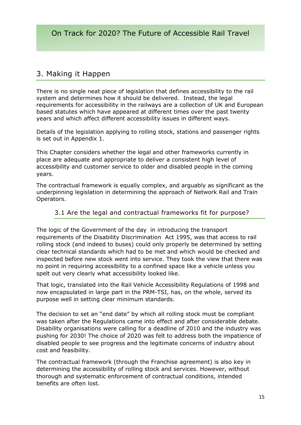# 3. Making it Happen

There is no single neat piece of legislation that defines accessibility to the rail system and determines how it should be delivered. Instead, the legal requirements for accessibility in the railways are a collection of UK and European based statutes which have appeared at different times over the past twenty years and which affect different accessibility issues in different ways.

Details of the legislation applying to rolling stock, stations and passenger rights is set out in Appendix 1.

This Chapter considers whether the legal and other frameworks currently in place are adequate and appropriate to deliver a consistent high level of accessibility and customer service to older and disabled people in the coming years.

The contractual framework is equally complex, and arguably as significant as the underpinning legislation in determining the approach of Network Rail and Train Operators.

#### 3.1 Are the legal and contractual frameworks fit for purpose?

The logic of the Government of the day in introducing the transport requirements of the Disability Discrimination Act 1995, was that access to rail rolling stock (and indeed to buses) could only properly be determined by setting clear technical standards which had to be met and which would be checked and inspected before new stock went into service. They took the view that there was no point in requiring accessibility to a confined space like a vehicle unless you spelt out very clearly what accessibility looked like.

That logic, translated into the Rail Vehicle Accessibility Regulations of 1998 and now encapsulated in large part in the PRM-TSI, has, on the whole, served its purpose well in setting clear minimum standards.

The decision to set an "end date" by which all rolling stock must be compliant was taken after the Regulations came into effect and after considerable debate. Disability organisations were calling for a deadline of 2010 and the industry was pushing for 2030! The choice of 2020 was felt to address both the impatience of disabled people to see progress and the legitimate concerns of industry about cost and feasibility.

The contractual framework (through the Franchise agreement) is also key in determining the accessibility of rolling stock and services. However, without thorough and systematic enforcement of contractual conditions, intended benefits are often lost.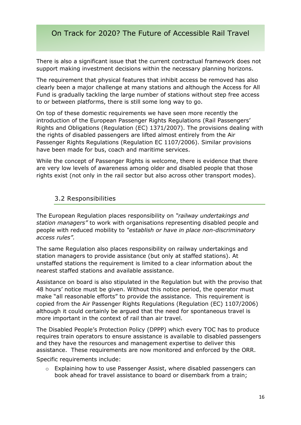There is also a significant issue that the current contractual framework does not support making investment decisions within the necessary planning horizons.

The requirement that physical features that inhibit access be removed has also clearly been a major challenge at many stations and although the Access for All Fund is gradually tackling the large number of stations without step free access to or between platforms, there is still some long way to go.

On top of these domestic requirements we have seen more recently the introduction of the European Passenger Rights Regulations (Rail Passengers' Rights and Obligations (Regulation (EC) 1371/2007). The provisions dealing with the rights of disabled passengers are lifted almost entirely from the Air Passenger Rights Regulations (Regulation EC 1107/2006). Similar provisions have been made for bus, coach and maritime services.

While the concept of Passenger Rights is welcome, there is evidence that there are very low levels of awareness among older and disabled people that those rights exist (not only in the rail sector but also across other transport modes).

#### 3.2 Responsibilities

The European Regulation places responsibility on *"railway undertakings and station managers"* to work with organisations representing disabled people and people with reduced mobility to *"establish or have in place non-discriminatory access rules".*

The same Regulation also places responsibility on railway undertakings and station managers to provide assistance (but only at staffed stations). At unstaffed stations the requirement is limited to a clear information about the nearest staffed stations and available assistance.

Assistance on board is also stipulated in the Regulation but with the proviso that 48 hours' notice must be given. Without this notice period, the operator must make "all reasonable efforts" to provide the assistance. This requirement is copied from the Air Passenger Rights Regulations (Regulation (EC) 1107/2006) although it could certainly be argued that the need for spontaneous travel is more important in the context of rail than air travel.

The Disabled People's Protection Policy (DPPP) which every TOC has to produce requires train operators to ensure assistance is available to disabled passengers and they have the resources and management expertise to deliver this assistance. These requirements are now monitored and enforced by the ORR.

Specific requirements include:

o Explaining how to use Passenger Assist, where disabled passengers can book ahead for travel assistance to board or disembark from a train;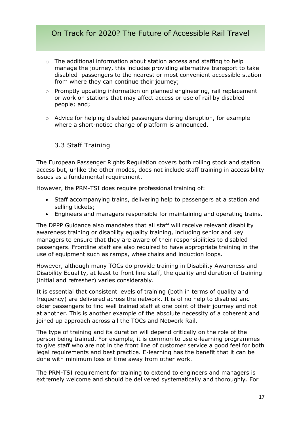- $\circ$  The additional information about station access and staffing to help manage the journey, this includes providing alternative transport to take disabled passengers to the nearest or most convenient accessible station from where they can continue their journey;
- o Promptly updating information on planned engineering, rail replacement or work on stations that may affect access or use of rail by disabled people; and;
- o Advice for helping disabled passengers during disruption, for example where a short-notice change of platform is announced.

#### 3.3 Staff Training

The European Passenger Rights Regulation covers both rolling stock and station access but, unlike the other modes, does not include staff training in accessibility issues as a fundamental requirement.

However, the PRM-TSI does require professional training of:

- Staff accompanying trains, delivering help to passengers at a station and selling tickets;
- Engineers and managers responsible for maintaining and operating trains.

The DPPP Guidance also mandates that all staff will receive relevant disability awareness training or disability equality training, including senior and key managers to ensure that they are aware of their responsibilities to disabled passengers. Frontline staff are also required to have appropriate training in the use of equipment such as ramps, wheelchairs and induction loops.

However, although many TOCs do provide training in Disability Awareness and Disability Equality, at least to front line staff, the quality and duration of training (initial and refresher) varies considerably.

It is essential that consistent levels of training (both in terms of quality and frequency) are delivered across the network. It is of no help to disabled and older passengers to find well trained staff at one point of their journey and not at another. This is another example of the absolute necessity of a coherent and joined up approach across all the TOCs and Network Rail.

The type of training and its duration will depend critically on the role of the person being trained. For example, it is common to use e-learning programmes to give staff who are not in the front line of customer service a good feel for both legal requirements and best practice. E-learning has the benefit that it can be done with minimum loss of time away from other work.

The PRM-TSI requirement for training to extend to engineers and managers is extremely welcome and should be delivered systematically and thoroughly. For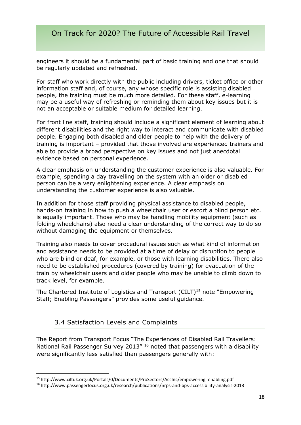engineers it should be a fundamental part of basic training and one that should be regularly updated and refreshed.

For staff who work directly with the public including drivers, ticket office or other information staff and, of course, any whose specific role is assisting disabled people, the training must be much more detailed. For these staff, e-learning may be a useful way of refreshing or reminding them about key issues but it is not an acceptable or suitable medium for detailed learning.

For front line staff, training should include a significant element of learning about different disabilities and the right way to interact and communicate with disabled people. Engaging both disabled and older people to help with the delivery of training is important – provided that those involved are experienced trainers and able to provide a broad perspective on key issues and not just anecdotal evidence based on personal experience.

A clear emphasis on understanding the customer experience is also valuable. For example, spending a day travelling on the system with an older or disabled person can be a very enlightening experience. A clear emphasis on understanding the customer experience is also valuable.

In addition for those staff providing physical assistance to disabled people, hands-on training in how to push a wheelchair user or escort a blind person etc. is equally important. Those who may be handling mobility equipment (such as folding wheelchairs) also need a clear understanding of the correct way to do so without damaging the equipment or themselves.

Training also needs to cover procedural issues such as what kind of information and assistance needs to be provided at a time of delay or disruption to people who are blind or deaf, for example, or those with learning disabilities. There also need to be established procedures (covered by training) for evacuation of the train by wheelchair users and older people who may be unable to climb down to track level, for example.

The Chartered Institute of Logistics and Transport (CILT)<sup>15</sup> note "Empowering Staff; Enabling Passengers" provides some useful guidance.

#### 3.4 Satisfaction Levels and Complaints

**.** 

The Report from Transport Focus "The Experiences of Disabled Rail Travellers: National Rail Passenger Survey 2013" <sup>16</sup> noted that passengers with a disability were significantly less satisfied than passengers generally with:

<sup>15</sup> http://www.ciltuk.org.uk/Portals/0/Documents/ProSectors/AccInc/empowering\_enabling.pdf

<sup>16</sup> http://www.passengerfocus.org.uk/research/publications/nrps-and-bps-accessibility-analysis-2013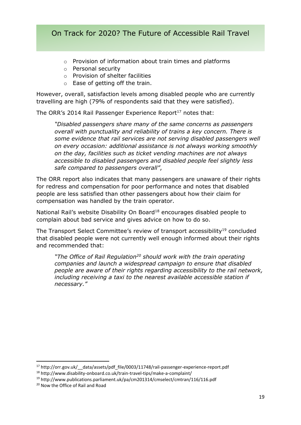- o Provision of information about train times and platforms
- o Personal security
- o Provision of shelter facilities
- o Ease of getting off the train.

However, overall, satisfaction levels among disabled people who are currently travelling are high (79% of respondents said that they were satisfied).

The ORR's 2014 Rail Passenger Experience Report<sup>17</sup> notes that:

*"Disabled passengers share many of the same concerns as passengers overall with punctuality and reliability of trains a key concern. There is some evidence that rail services are not serving disabled passengers well on every occasion: additional assistance is not always working smoothly on the day, facilities such as ticket vending machines are not always accessible to disabled passengers and disabled people feel slightly less safe compared to passengers overall"*,

The ORR report also indicates that many passengers are unaware of their rights for redress and compensation for poor performance and notes that disabled people are less satisfied than other passengers about how their claim for compensation was handled by the train operator.

National Rail's website Disability On Board<sup>18</sup> encourages disabled people to complain about bad service and gives advice on how to do so.

The Transport Select Committee's review of transport accessibility<sup>19</sup> concluded that disabled people were not currently well enough informed about their rights and recommended that:

*"The Office of Rail Regulation<sup>20</sup> should work with the train operating companies and launch a widespread campaign to ensure that disabled people are aware of their rights regarding accessibility to the rail network, including receiving a taxi to the nearest available accessible station if necessary."*

<sup>17</sup> http://orr.gov.uk/\_\_data/assets/pdf\_file/0003/11748/rail-passenger-experience-report.pdf

<sup>18</sup> http://www.disability-onboard.co.uk/train-travel-tips/make-a-complaint/

<sup>19</sup> http://www.publications.parliament.uk/pa/cm201314/cmselect/cmtran/116/116.pdf

<sup>20</sup> Now the Office of Rail and Road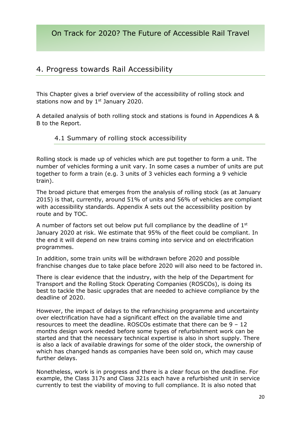# 4. Progress towards Rail Accessibility

This Chapter gives a brief overview of the accessibility of rolling stock and stations now and by  $1<sup>st</sup>$  January 2020.

A detailed analysis of both rolling stock and stations is found in Appendices A & B to the Report.

#### 4.1 Summary of rolling stock accessibility

Rolling stock is made up of vehicles which are put together to form a unit. The number of vehicles forming a unit vary. In some cases a number of units are put together to form a train (e.g. 3 units of 3 vehicles each forming a 9 vehicle train).

The broad picture that emerges from the analysis of rolling stock (as at January 2015) is that, currently, around 51% of units and 56% of vehicles are compliant with accessibility standards. Appendix A sets out the accessibility position by route and by TOC.

A number of factors set out below put full compliance by the deadline of 1st January 2020 at risk. We estimate that 95% of the fleet could be compliant. In the end it will depend on new trains coming into service and on electrification programmes.

In addition, some train units will be withdrawn before 2020 and possible franchise changes due to take place before 2020 will also need to be factored in.

There is clear evidence that the industry, with the help of the Department for Transport and the Rolling Stock Operating Companies (ROSCOs), is doing its best to tackle the basic upgrades that are needed to achieve compliance by the deadline of 2020.

However, the impact of delays to the refranchising programme and uncertainty over electrification have had a significant effect on the available time and resources to meet the deadline. ROSCOs estimate that there can be 9 – 12 months design work needed before some types of refurbishment work can be started and that the necessary technical expertise is also in short supply. There is also a lack of available drawings for some of the older stock, the ownership of which has changed hands as companies have been sold on, which may cause further delays.

Nonetheless, work is in progress and there is a clear focus on the deadline. For example, the Class 317s and Class 321s each have a refurbished unit in service currently to test the viability of moving to full compliance. It is also noted that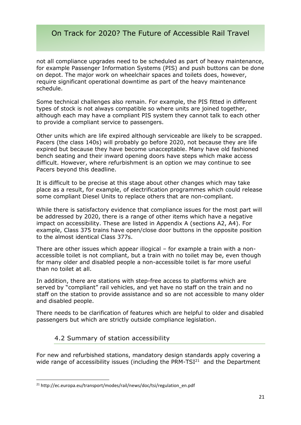not all compliance upgrades need to be scheduled as part of heavy maintenance, for example Passenger Information Systems (PIS) and push buttons can be done on depot. The major work on wheelchair spaces and toilets does, however, require significant operational downtime as part of the heavy maintenance schedule.

Some technical challenges also remain. For example, the PIS fitted in different types of stock is not always compatible so where units are joined together, although each may have a compliant PIS system they cannot talk to each other to provide a compliant service to passengers.

Other units which are life expired although serviceable are likely to be scrapped. Pacers (the class 140s) will probably go before 2020, not because they are life expired but because they have become unacceptable. Many have old fashioned bench seating and their inward opening doors have steps which make access difficult. However, where refurbishment is an option we may continue to see Pacers beyond this deadline.

It is difficult to be precise at this stage about other changes which may take place as a result, for example, of electrification programmes which could release some compliant Diesel Units to replace others that are non-compliant.

While there is satisfactory evidence that compliance issues for the most part will be addressed by 2020, there is a range of other items which have a negative impact on accessibility. These are listed in Appendix A (sections A2, A4). For example, Class 375 trains have open/close door buttons in the opposite position to the almost identical Class 377s.

There are other issues which appear illogical – for example a train with a nonaccessible toilet is not compliant, but a train with no toilet may be, even though for many older and disabled people a non-accessible toilet is far more useful than no toilet at all.

In addition, there are stations with step-free access to platforms which are served by "compliant" rail vehicles, and yet have no staff on the train and no staff on the station to provide assistance and so are not accessible to many older and disabled people.

There needs to be clarification of features which are helpful to older and disabled passengers but which are strictly outside compliance legislation.

#### 4.2 Summary of station accessibility

For new and refurbished stations, mandatory design standards apply covering a wide range of accessibility issues (including the PRM-TS $I<sup>21</sup>$  and the Department

<sup>&</sup>lt;sup>21</sup> http://ec.europa.eu/transport/modes/rail/news/doc/tsi/regulation\_en.pdf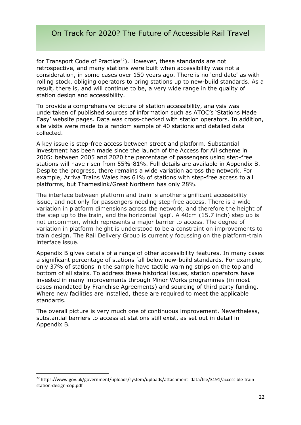for Transport Code of Practice<sup>22</sup>). However, these standards are not retrospective, and many stations were built when accessibility was not a consideration, in some cases over 150 years ago. There is no 'end date' as with rolling stock, obliging operators to bring stations up to new-build standards. As a result, there is, and will continue to be, a very wide range in the quality of station design and accessibility.

To provide a comprehensive picture of station accessibility, analysis was undertaken of published sources of information such as ATOC's 'Stations Made Easy' website pages. Data was cross-checked with station operators. In addition, site visits were made to a random sample of 40 stations and detailed data collected.

A key issue is step-free access between street and platform. Substantial investment has been made since the launch of the Access for All scheme in 2005: between 2005 and 2020 the percentage of passengers using step-free stations will have risen from 55%-81%. Full details are available in Appendix B. Despite the progress, there remains a wide variation across the network. For example, Arriva Trains Wales has 61% of stations with step-free access to all platforms, but Thameslink/Great Northern has only 28%.

The interface between platform and train is another significant accessibility issue, and not only for passengers needing step-free access. There is a wide variation in platform dimensions across the network, and therefore the height of the step up to the train, and the horizontal 'gap'. A 40cm (15.7 inch) step up is not uncommon, which represents a major barrier to access. The degree of variation in platform height is understood to be a constraint on improvements to train design. The Rail Delivery Group is currently focussing on the platform-train interface issue.

Appendix B gives details of a range of other accessibility features. In many cases a significant percentage of stations fall below new-build standards. For example, only 37% of stations in the sample have tactile warning strips on the top and bottom of all stairs. To address these historical issues, station operators have invested in many improvements through Minor Works programmes (in most cases mandated by Franchise Agreements) and sourcing of third party funding. Where new facilities are installed, these are required to meet the applicable standards.

The overall picture is very much one of continuous improvement. Nevertheless, substantial barriers to access at stations still exist, as set out in detail in Appendix B.

<sup>&</sup>lt;sup>22</sup> https://www.gov.uk/government/uploads/system/uploads/attachment\_data/file/3191/accessible-trainstation-design-cop.pdf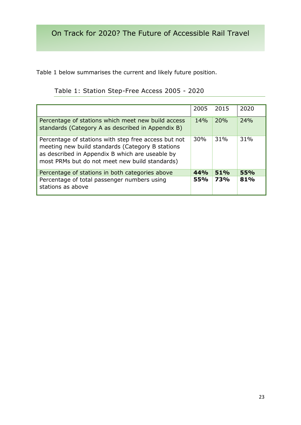Table 1 below summarises the current and likely future position.

Table 1: Station Step-Free Access 2005 - 2020

|                                                                                                                                                                                                               | 2005 | 2015 | 2020 |
|---------------------------------------------------------------------------------------------------------------------------------------------------------------------------------------------------------------|------|------|------|
| Percentage of stations which meet new build access<br>standards (Category A as described in Appendix B)                                                                                                       | 14%  | 20%  | 24%  |
| Percentage of stations with step free access but not<br>meeting new build standards (Category B stations<br>as described in Appendix B which are useable by<br>most PRMs but do not meet new build standards) | 30%  | 31%  | 31%  |
| Percentage of stations in both categories above                                                                                                                                                               | 44%  | 51%  | 55%  |
| Percentage of total passenger numbers using<br>stations as above                                                                                                                                              | 55%  | 73%  | 81%  |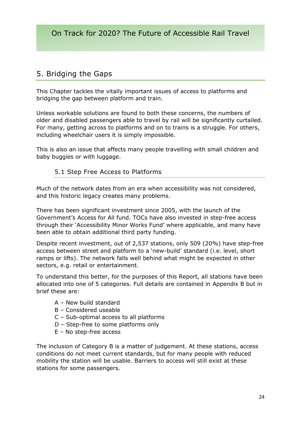# 5. Bridging the Gaps

This Chapter tackles the vitally important issues of access to platforms and bridging the gap between platform and train.

Unless workable solutions are found to both these concerns, the numbers of older and disabled passengers able to travel by rail will be significantly curtailed. For many, getting across to platforms and on to trains is a struggle. For others, including wheelchair users it is simply impossible.

This is also an issue that affects many people travelling with small children and baby buggies or with luggage.

#### 5.1 Step Free Access to Platforms

Much of the network dates from an era when accessibility was not considered, and this historic legacy creates many problems.

There has been significant investment since 2005, with the launch of the Government's Access for All fund. TOCs have also invested in step-free access through their 'Accessibility Minor Works Fund' where applicable, and many have been able to obtain additional third party funding.

Despite recent investment, out of 2,537 stations, only 509 (20%) have step-free access between street and platform to a 'new-build' standard (i.e. level, short ramps or lifts). The network falls well behind what might be expected in other sectors, e.g. retail or entertainment.

To understand this better, for the purposes of this Report, all stations have been allocated into one of 5 categories. Full details are contained in Appendix B but in brief these are:

- A New build standard
- B Considered useable
- C Sub-optimal access to all platforms
- D Step-free to some platforms only
- E No step-free access

The inclusion of Category B is a matter of judgement. At these stations, access conditions do not meet current standards, but for many people with reduced mobility the station will be usable. Barriers to access will still exist at these stations for some passengers.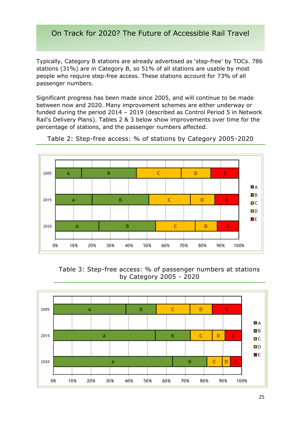Typically, Category B stations are already advertised as 'step-free' by TOCs. 786 stations (31%) are in Category B, so 51% of all stations are usable by most people who require step-free access. These stations account for 73% of all passenger numbers.

Significant progress has been made since 2005, and will continue to be made between now and 2020. Many improvement schemes are either underway or funded during the period 2014 – 2019 (described as Control Period 5 in Network Rail's Delivery Plans). Tables 2 & 3 below show improvements over time for the percentage of stations, and the passenger numbers affected.



Table 2: Step-free access: % of stations by Category 2005-2020

Table 3: Step-free access: % of passenger numbers at stations by Category 2005 - 2020

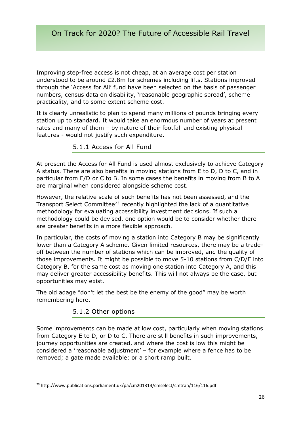Improving step-free access is not cheap, at an average cost per station understood to be around £2.8m for schemes including lifts. Stations improved through the 'Access for All' fund have been selected on the basis of passenger numbers, census data on disability, 'reasonable geographic spread', scheme practicality, and to some extent scheme cost.

It is clearly unrealistic to plan to spend many millions of pounds bringing every station up to standard. It would take an enormous number of years at present rates and many of them – by nature of their footfall and existing physical features - would not justify such expenditure.

#### 5.1.1 Access for All Fund

At present the Access for All Fund is used almost exclusively to achieve Category A status. There are also benefits in moving stations from E to D, D to C, and in particular from E/D or C to B. In some cases the benefits in moving from B to A are marginal when considered alongside scheme cost.

However, the relative scale of such benefits has not been assessed, and the Transport Select Committee<sup>23</sup> recently highlighted the lack of a quantitative methodology for evaluating accessibility investment decisions. If such a methodology could be devised, one option would be to consider whether there are greater benefits in a more flexible approach.

In particular, the costs of moving a station into Category B may be significantly lower than a Category A scheme. Given limited resources, there may be a tradeoff between the number of stations which can be improved, and the quality of those improvements. It might be possible to move 5-10 stations from C/D/E into Category B, for the same cost as moving one station into Category A, and this may deliver greater accessibility benefits. This will not always be the case, but opportunities may exist.

The old adage "don't let the best be the enemy of the good" may be worth remembering here.

#### 5.1.2 Other options

Some improvements can be made at low cost, particularly when moving stations from Category E to D, or D to C. There are still benefits in such improvements, journey opportunities are created, and where the cost is low this might be considered a 'reasonable adjustment' – for example where a fence has to be removed; a gate made available; or a short ramp built.

**<sup>.</sup>** <sup>23</sup> http://www.publications.parliament.uk/pa/cm201314/cmselect/cmtran/116/116.pdf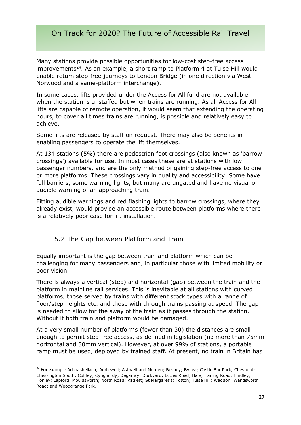Many stations provide possible opportunities for low-cost step-free access improvements<sup>24</sup>. As an example, a short ramp to Platform 4 at Tulse Hill would enable return step-free journeys to London Bridge (in one direction via West Norwood and a same-platform interchange).

In some cases, lifts provided under the Access for All fund are not available when the station is unstaffed but when trains are running. As all Access for All lifts are capable of remote operation, it would seem that extending the operating hours, to cover all times trains are running, is possible and relatively easy to achieve.

Some lifts are released by staff on request. There may also be benefits in enabling passengers to operate the lift themselves.

At 134 stations (5%) there are pedestrian foot crossings (also known as 'barrow crossings') available for use. In most cases these are at stations with low passenger numbers, and are the only method of gaining step-free access to one or more platforms. These crossings vary in quality and accessibility. Some have full barriers, some warning lights, but many are ungated and have no visual or audible warning of an approaching train.

Fitting audible warnings and red flashing lights to barrow crossings, where they already exist, would provide an accessible route between platforms where there is a relatively poor case for lift installation.

#### 5.2 The Gap between Platform and Train

 $\overline{a}$ 

Equally important is the gap between train and platform which can be challenging for many passengers and, in particular those with limited mobility or poor vision.

There is always a vertical (step) and horizontal (gap) between the train and the platform in mainline rail services. This is inevitable at all stations with curved platforms, those served by trains with different stock types with a range of floor/step heights etc. and those with through trains passing at speed. The gap is needed to allow for the sway of the train as it passes through the station. Without it both train and platform would be damaged.

At a very small number of platforms (fewer than 30) the distances are small enough to permit step-free access, as defined in legislation (no more than 75mm horizontal and 50mm vertical). However, at over 99% of stations, a portable ramp must be used, deployed by trained staff. At present, no train in Britain has

<sup>&</sup>lt;sup>24</sup> For example Achnashellach; Addiewell; Ashwell and Morden; Bushey; Bynea; Castle Bar Park; Cheshunt; Chessington South; Cuffley; Cynghordy; Deganwy; Dockyard; Eccles Road; Hale; Harling Road; Hindley; Honley; Lapford; Mouldsworth; North Road; Radlett; St Margaret's; Totton; Tulse Hill; Waddon; Wandsworth Road; and Woodgrange Park.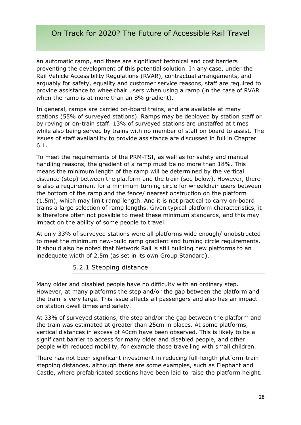an automatic ramp, and there are significant technical and cost barriers preventing the development of this potential solution. In any case, under the Rail Vehicle Accessibility Regulations (RVAR), contractual arrangements, and arguably for safety, equality and customer service reasons, staff are required to provide assistance to wheelchair users when using a ramp (in the case of RVAR when the ramp is at more than an 8% gradient).

In general, ramps are carried on-board trains, and are available at many stations (55% of surveyed stations). Ramps may be deployed by station staff or by roving or on-train staff. 13% of surveyed stations are unstaffed at times while also being served by trains with no member of staff on board to assist. The issues of staff availability to provide assistance are discussed in full in Chapter 6.1.

To meet the requirements of the PRM-TSI, as well as for safety and manual handling reasons, the gradient of a ramp must be no more than 18%. This means the minimum length of the ramp will be determined by the vertical distance (step) between the platform and the train (see below). However, there is also a requirement for a minimum turning circle for wheelchair users between the bottom of the ramp and the fence/ nearest obstruction on the platform (1.5m), which may limit ramp length. And it is not practical to carry on-board trains a large selection of ramp lengths. Given typical platform characteristics, it is therefore often not possible to meet these minimum standards, and this may impact on the ability of some people to travel.

At only 33% of surveyed stations were all platforms wide enough/ unobstructed to meet the minimum new-build ramp gradient and turning circle requirements. It should also be noted that Network Rail is still building new platforms to an inadequate width of 2.5m (as set in its own Group Standard).

#### 5.2.1 Stepping distance

Many older and disabled people have no difficulty with an ordinary step. However, at many platforms the step and/or the gap between the platform and the train is very large. This issue affects all passengers and also has an impact on station dwell times and safety.

At 33% of surveyed stations, the step and/or the gap between the platform and the train was estimated at greater than 25cm in places. At some platforms, vertical distances in excess of 40cm have been observed. This is likely to be a significant barrier to access for many older and disabled people, and other people with reduced mobility, for example those travelling with small children.

There has not been significant investment in reducing full-length platform-train stepping distances, although there are some examples, such as Elephant and Castle, where prefabricated sections have been laid to raise the platform height.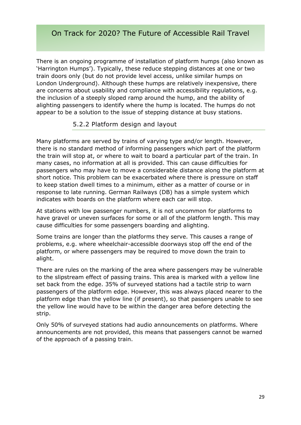There is an ongoing programme of installation of platform humps (also known as 'Harrington Humps'). Typically, these reduce stepping distances at one or two train doors only (but do not provide level access, unlike similar humps on London Underground). Although these humps are relatively inexpensive, there are concerns about usability and compliance with accessibility regulations, e.g. the inclusion of a steeply sloped ramp around the hump, and the ability of alighting passengers to identify where the hump is located. The humps do not appear to be a solution to the issue of stepping distance at busy stations.

#### 5.2.2 Platform design and layout

Many platforms are served by trains of varying type and/or length. However, there is no standard method of informing passengers which part of the platform the train will stop at, or where to wait to board a particular part of the train. In many cases, no information at all is provided. This can cause difficulties for passengers who may have to move a considerable distance along the platform at short notice. This problem can be exacerbated where there is pressure on staff to keep station dwell times to a minimum, either as a matter of course or in response to late running. German Railways (DB) has a simple system which indicates with boards on the platform where each car will stop.

At stations with low passenger numbers, it is not uncommon for platforms to have gravel or uneven surfaces for some or all of the platform length. This may cause difficulties for some passengers boarding and alighting.

Some trains are longer than the platforms they serve. This causes a range of problems, e.g. where wheelchair-accessible doorways stop off the end of the platform, or where passengers may be required to move down the train to alight.

There are rules on the marking of the area where passengers may be vulnerable to the slipstream effect of passing trains. This area is marked with a yellow line set back from the edge. 35% of surveyed stations had a tactile strip to warn passengers of the platform edge. However, this was always placed nearer to the platform edge than the yellow line (if present), so that passengers unable to see the yellow line would have to be within the danger area before detecting the strip.

Only 50% of surveyed stations had audio announcements on platforms. Where announcements are not provided, this means that passengers cannot be warned of the approach of a passing train.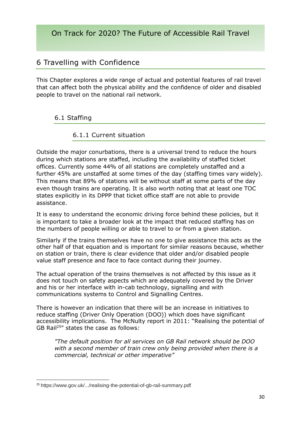# 6 Travelling with Confidence

This Chapter explores a wide range of actual and potential features of rail travel that can affect both the physical ability and the confidence of older and disabled people to travel on the national rail network.

### 6.1 Staffing

#### 6.1.1 Current situation

Outside the major conurbations, there is a universal trend to reduce the hours during which stations are staffed, including the availability of staffed ticket offices. Currently some 44% of all stations are completely unstaffed and a further 45% are unstaffed at some times of the day (staffing times vary widely). This means that 89% of stations will be without staff at some parts of the day even though trains are operating. It is also worth noting that at least one TOC states explicitly in its DPPP that ticket office staff are not able to provide assistance.

It is easy to understand the economic driving force behind these policies, but it is important to take a broader look at the impact that reduced staffing has on the numbers of people willing or able to travel to or from a given station.

Similarly if the trains themselves have no one to give assistance this acts as the other half of that equation and is important for similar reasons because, whether on station or train, there is clear evidence that older and/or disabled people value staff presence and face to face contact during their journey.

The actual operation of the trains themselves is not affected by this issue as it does not touch on safety aspects which are adequately covered by the Driver and his or her interface with in-cab technology, signalling and with communications systems to Control and Signalling Centres.

There is however an indication that there will be an increase in initiatives to reduce staffing (Driver Only Operation (DOO)) which does have significant accessibility implications. The McNulty report in 2011: "Realising the potential of GB Rail<sup>25</sup>" states the case as follows*:*

*"The default position for all services on GB Rail network should be DOO with a second member of train crew only being provided when there is a commercial, technical or other imperative"*

**<sup>.</sup>** <sup>25</sup> https://www.gov.uk/.../realising-the-potential-of-gb-rail-summary.pdf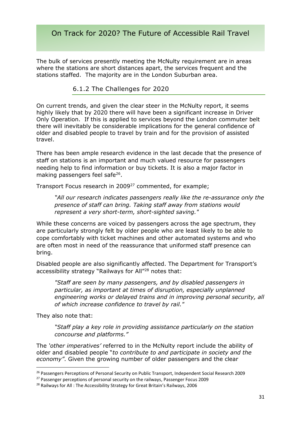The bulk of services presently meeting the McNulty requirement are in areas where the stations are short distances apart, the services frequent and the stations staffed. The majority are in the London Suburban area.

#### 6.1.2 The Challenges for 2020

On current trends, and given the clear steer in the McNulty report, it seems highly likely that by 2020 there will have been a significant increase in Driver Only Operation. If this is applied to services beyond the London commuter belt there will inevitably be considerable implications for the general confidence of older and disabled people to travel by train and for the provision of assisted travel.

There has been ample research evidence in the last decade that the presence of staff on stations is an important and much valued resource for passengers needing help to find information or buy tickets. It is also a major factor in making passengers feel safe<sup>26</sup>.

Transport Focus research in 2009<sup>27</sup> commented, for example;

*"All our research indicates passengers really like the re-assurance only the presence of staff can bring. Taking staff away from stations would represent a very short-term, short-sighted saving."*

While these concerns are voiced by passengers across the age spectrum, they are particularly strongly felt by older people who are least likely to be able to cope comfortably with ticket machines and other automated systems and who are often most in need of the reassurance that uniformed staff presence can bring.

Disabled people are also significantly affected. The Department for Transport's accessibility strategy "Railways for All"<sup>28</sup> notes that:

*"Staff are seen by many passengers, and by disabled passengers in particular, as important at times of disruption, especially unplanned engineering works or delayed trains and in improving personal security, all of which increase confidence to travel by rail."*

They also note that:

**.** 

"Staff play a key role in providing assistance particularly on the station *concourse and platforms."*

The *'other imperatives'* referred to in the McNulty report include the ability of older and disabled people "*to contribute to and participate in society and the economy"*. Given the growing number of older passengers and the clear

<sup>&</sup>lt;sup>26</sup> Passengers Perceptions of Personal Security on Public Transport, Independent Social Research 2009

<sup>&</sup>lt;sup>27</sup> Passenger perceptions of personal security on the railways, Passenger Focus 2009

<sup>&</sup>lt;sup>28</sup> Railways for All: The Accessibility Strategy for Great Britain's Railways, 2006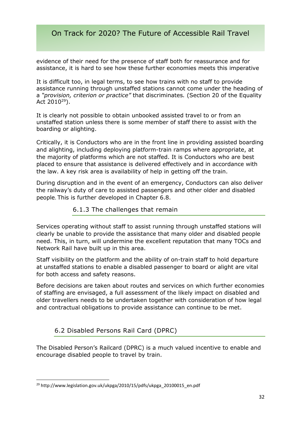evidence of their need for the presence of staff both for reassurance and for assistance, it is hard to see how these further economies meets this imperative

It is difficult too, in legal terms, to see how trains with no staff to provide assistance running through unstaffed stations cannot come under the heading of a *"provision, criterion or practice"* that discriminates*.* (Section 20 of the Equality Act  $2010^{29}$ ).

It is clearly not possible to obtain unbooked assisted travel to or from an unstaffed station unless there is some member of staff there to assist with the boarding or alighting.

Critically, it is Conductors who are in the front line in providing assisted boarding and alighting, including deploying platform-train ramps where appropriate, at the majority of platforms which are not staffed. It is Conductors who are best placed to ensure that assistance is delivered effectively and in accordance with the law. A key risk area is availability of help in getting off the train.

During disruption and in the event of an emergency, Conductors can also deliver the railway's duty of care to assisted passengers and other older and disabled people. This is further developed in Chapter 6.8.

#### 6.1.3 The challenges that remain

Services operating without staff to assist running through unstaffed stations will clearly be unable to provide the assistance that many older and disabled people need. This, in turn, will undermine the excellent reputation that many TOCs and Network Rail have built up in this area.

Staff visibility on the platform and the ability of on-train staff to hold departure at unstaffed stations to enable a disabled passenger to board or alight are vital for both access and safety reasons.

Before decisions are taken about routes and services on which further economies of staffing are envisaged, a full assessment of the likely impact on disabled and older travellers needs to be undertaken together with consideration of how legal and contractual obligations to provide assistance can continue to be met.

#### 6.2 Disabled Persons Rail Card (DPRC)

The Disabled Person's Railcard (DPRC) is a much valued incentive to enable and encourage disabled people to travel by train.

**<sup>.</sup>** <sup>29</sup> http://www.legislation.gov.uk/ukpga/2010/15/pdfs/ukpga\_20100015\_en.pdf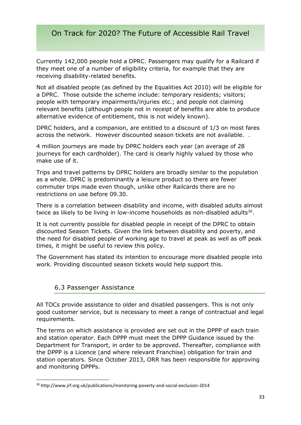Currently 142,000 people hold a DPRC. Passengers may qualify for a Railcard if they meet one of a number of eligibility criteria, for example that they are receiving disability-related benefits.

Not all disabled people (as defined by the Equalities Act 2010) will be eligible for a DPRC. Those outside the scheme include: temporary residents; visitors; people with temporary impairments/injuries etc.; and people not claiming relevant benefits (although people not in receipt of benefits are able to produce alternative evidence of entitlement, this is not widely known).

DPRC holders, and a companion, are entitled to a discount of 1/3 on most fares across the network. However discounted season tickets are not available. .

4 million journeys are made by DPRC holders each year (an average of 28 journeys for each cardholder). The card is clearly highly valued by those who make use of it.

Trips and travel patterns by DPRC holders are broadly similar to the population as a whole. DPRC is predominantly a leisure product so there are fewer commuter trips made even though, unlike other Railcards there are no restrictions on use before 09.30.

There is a correlation between disability and income, with disabled adults almost twice as likely to be living in low-income households as non-disabled adults $^{30}$ .

It is not currently possible for disabled people in receipt of the DPRC to obtain discounted Season Tickets. Given the link between disability and poverty, and the need for disabled people of working age to travel at peak as well as off peak times, it might be useful to review this policy.

The Government has stated its intention to encourage more disabled people into work. Providing discounted season tickets would help support this.

#### 6.3 Passenger Assistance

**.** 

All TOCs provide assistance to older and disabled passengers. This is not only good customer service, but is necessary to meet a range of contractual and legal requirements.

The terms on which assistance is provided are set out in the DPPP of each train and station operator. Each DPPP must meet the DPPP Guidance issued by the Department for Transport, in order to be approved. Thereafter, compliance with the DPPP is a Licence (and where relevant Franchise) obligation for train and station operators. Since October 2013, ORR has been responsible for approving and monitoring DPPPs.

<sup>30</sup> http://www.jrf.org.uk/publications/monitoring-poverty-and-social-exclusion-2014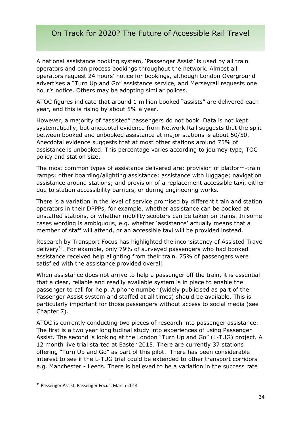A national assistance booking system, 'Passenger Assist' is used by all train operators and can process bookings throughout the network. Almost all operators request 24 hours' notice for bookings, although London Overground advertises a "Turn Up and Go" assistance service, and Merseyrail requests one hour's notice. Others may be adopting similar polices.

ATOC figures indicate that around 1 million booked "assists" are delivered each year, and this is rising by about 5% a year.

However, a majority of "assisted" passengers do not book. Data is not kept systematically, but anecdotal evidence from Network Rail suggests that the split between booked and unbooked assistance at major stations is about 50/50. Anecdotal evidence suggests that at most other stations around 75% of assistance is unbooked. This percentage varies according to journey type, TOC policy and station size.

The most common types of assistance delivered are: provision of platform-train ramps; other boarding/alighting assistance; assistance with luggage; navigation assistance around stations; and provision of a replacement accessible taxi, either due to station accessibility barriers, or during engineering works*.* 

There is a variation in the level of service promised by different train and station operators in their DPPPs, for example, whether assistance can be booked at unstaffed stations, or whether mobility scooters can be taken on trains. In some cases wording is ambiguous, e.g. whether 'assistance' actually means that a member of staff will attend, or an accessible taxi will be provided instead.

Research by Transport Focus has highlighted the inconsistency of Assisted Travel delivery<sup>31</sup>. For example, only 79% of surveyed passengers who had booked assistance received help alighting from their train. 75% of passengers were satisfied with the assistance provided overall.

When assistance does not arrive to help a passenger off the train, it is essential that a clear, reliable and readily available system is in place to enable the passenger to call for help. A phone number (widely publicised as part of the Passenger Assist system and staffed at all times) should be available. This is particularly important for those passengers without access to social media (see Chapter 7).

ATOC is currently conducting two pieces of research into passenger assistance. The first is a two year longitudinal study into experiences of using Passenger Assist. The second is looking at the London "Turn Up and Go" (L-TUG) project. A 12 month live trial started at Easter 2015. There are currently 37 stations offering "Turn Up and Go" as part of this pilot. There has been considerable interest to see if the L-TUG trial could be extended to other transport corridors e.g. Manchester - Leeds. There is believed to be a variation in the success rate

<sup>&</sup>lt;sup>31</sup> Passenger Assist, Passenger Focus, March 2014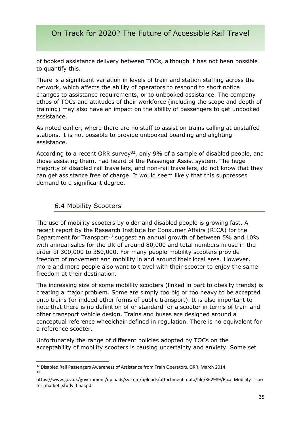of booked assistance delivery between TOCs, although it has not been possible to quantify this.

There is a significant variation in levels of train and station staffing across the network, which affects the ability of operators to respond to short notice changes to assistance requirements, or to unbooked assistance. The company ethos of TOCs and attitudes of their workforce (including the scope and depth of training) may also have an impact on the ability of passengers to get unbooked assistance.

As noted earlier, where there are no staff to assist on trains calling at unstaffed stations, it is not possible to provide unbooked boarding and alighting assistance.

According to a recent ORR survey<sup>32</sup>, only 9% of a sample of disabled people, and those assisting them, had heard of the Passenger Assist system. The huge majority of disabled rail travellers, and non-rail travellers, do not know that they can get assistance free of charge. It would seem likely that this suppresses demand to a significant degree.

#### 6.4 Mobility Scooters

**.** 

The use of mobility scooters by older and disabled people is growing fast. A recent report by the Research Institute for Consumer Affairs (RICA) for the Department for Transport<sup>33</sup> suggest an annual growth of between 5% and  $10\%$ with annual sales for the UK of around 80,000 and total numbers in use in the order of 300,000 to 350,000. For many people mobility scooters provide freedom of movement and mobility in and around their local area. However, more and more people also want to travel with their scooter to enjoy the same freedom at their destination.

The increasing size of some mobility scooters (linked in part to obesity trends) is creating a major problem. Some are simply too big or too heavy to be accepted onto trains (or indeed other forms of public transport). It is also important to note that there is no definition of or standard for a scooter in terms of train and other transport vehicle design. Trains and buses are designed around a conceptual reference wheelchair defined in regulation. There is no equivalent for a reference scooter.

Unfortunately the range of different policies adopted by TOCs on the acceptability of mobility scooters is causing uncertainty and anxiety. Some set

<sup>&</sup>lt;sup>32</sup> Disabled Rail Passengers Awareness of Assistance from Train Operators, ORR, March 2014 33

https://www.gov.uk/government/uploads/system/uploads/attachment\_data/file/362989/Rica\_Mobility\_scoo ter\_market\_study\_final.pdf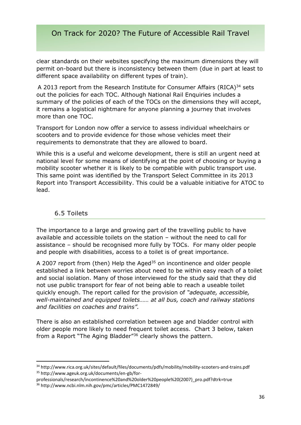clear standards on their websites specifying the maximum dimensions they will permit on-board but there is inconsistency between them (due in part at least to different space availability on different types of train).

A 2013 report from the Research Institute for Consumer Affairs (RICA)<sup>34</sup> sets out the policies for each TOC. Although National Rail Enquiries includes a summary of the policies of each of the TOCs on the dimensions they will accept, it remains a logistical nightmare for anyone planning a journey that involves more than one TOC.

Transport for London now offer a service to assess individual wheelchairs or scooters and to provide evidence for those whose vehicles meet their requirements to demonstrate that they are allowed to board.

While this is a useful and welcome development, there is still an urgent need at national level for some means of identifying at the point of choosing or buying a mobility scooter whether it is likely to be compatible with public transport use. This same point was identified by the Transport Select Committee in its 2013 Report into Transport Accessibility. This could be a valuable initiative for ATOC to lead.

#### 6.5 Toilets

**.** 

The importance to a large and growing part of the travelling public to have available and accessible toilets on the station – without the need to call for assistance – should be recognised more fully by TOCs. For many older people and people with disabilities, access to a toilet is of great importance.

A 2007 report from (then) Help the Aged<sup>35</sup> on incontinence and older people established a link between worries about need to be within easy reach of a toilet and social isolation. Many of those interviewed for the study said that they did not use public transport for fear of not being able to reach a useable toilet quickly enough. The report called for the provision of *"adequate, accessible, well-maintained and equipped toilets…… at all bus, coach and railway stations and facilities on coaches and trains".*

There is also an established correlation between age and bladder control with older people more likely to need frequent toilet access. Chart 3 below, taken from a Report "The Aging Bladder"<sup>36</sup> clearly shows the pattern.

<sup>34</sup> http://www.rica.org.uk/sites/default/files/documents/pdfs/mobility/mobility-scooters-and-trains.pdf <sup>35</sup> http://www.ageuk.org.uk/documents/en-gb/for-

professionals/research/incontinence%20and%20older%20people%20(2007)\_pro.pdf?dtrk=true

<sup>36</sup> http://www.ncbi.nlm.nih.gov/pmc/articles/PMC1472849/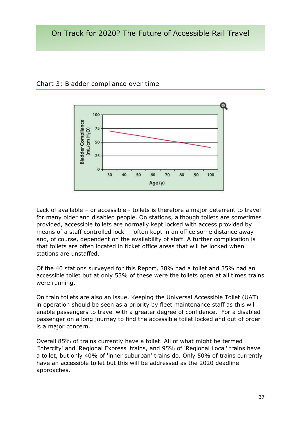

Chart 3: Bladder compliance over time

Lack of available – or accessible - toilets is therefore a major deterrent to travel for many older and disabled people. On stations, although toilets are sometimes provided, accessible toilets are normally kept locked with access provided by means of a staff controlled lock – often kept in an office some distance away and, of course, dependent on the availability of staff. A further complication is that toilets are often located in ticket office areas that will be locked when stations are unstaffed.

Of the 40 stations surveyed for this Report, 38% had a toilet and 35% had an accessible toilet but at only 53% of these were the toilets open at all times trains were running.

On train toilets are also an issue. Keeping the Universal Accessible Toilet (UAT) in operation should be seen as a priority by fleet maintenance staff as this will enable passengers to travel with a greater degree of confidence. For a disabled passenger on a long journey to find the accessible toilet locked and out of order is a major concern.

Overall 85% of trains currently have a toilet. All of what might be termed 'Intercity' and 'Regional Express' trains, and 95% of 'Regional Local' trains have a toilet, but only 40% of 'inner suburban' trains do. Only 50% of trains currently have an accessible toilet but this will be addressed as the 2020 deadline approaches.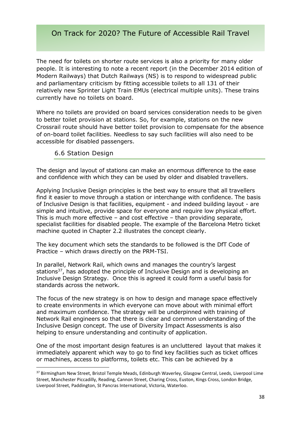The need for toilets on shorter route services is also a priority for many older people. It is interesting to note a recent report (in the December 2014 edition of Modern Railways) that Dutch Railways (NS) is to respond to widespread public and parliamentary criticism by fitting accessible toilets to all 131 of their relatively new Sprinter Light Train EMUs (electrical multiple units). These trains currently have no toilets on board.

Where no toilets are provided on board services consideration needs to be given to better toilet provision at stations. So, for example, stations on the new Crossrail route should have better toilet provision to compensate for the absence of on-board toilet facilities. Needless to say such facilities will also need to be accessible for disabled passengers.

#### 6.6 Station Design

**.** 

The design and layout of stations can make an enormous difference to the ease and confidence with which they can be used by older and disabled travellers.

Applying Inclusive Design principles is the best way to ensure that all travellers find it easier to move through a station or interchange with confidence. The basis of Inclusive Design is that facilities, equipment - and indeed building layout - are simple and intuitive, provide space for everyone and require low physical effort. This is much more effective – and cost effective – than providing separate, specialist facilities for disabled people. The example of the Barcelona Metro ticket machine quoted in Chapter 2.2 illustrates the concept clearly.

The key document which sets the standards to be followed is the DfT Code of Practice – which draws directly on the PRM-TSI.

In parallel, Network Rail, which owns and manages the country's largest stations<sup>37</sup>, has adopted the principle of Inclusive Design and is developing an Inclusive Design Strategy. Once this is agreed it could form a useful basis for standards across the network.

The focus of the new strategy is on how to design and manage space effectively to create environments in which everyone can move about with minimal effort and maximum confidence. The strategy will be underpinned with training of Network Rail engineers so that there is clear and common understanding of the Inclusive Design concept. The use of Diversity Impact Assessments is also helping to ensure understanding and continuity of application.

One of the most important design features is an uncluttered layout that makes it immediately apparent which way to go to find key facilities such as ticket offices or machines, access to platforms, toilets etc. This can be achieved by a

<sup>&</sup>lt;sup>37</sup> Birmingham New Street, Bristol Temple Meads, Edinburgh Waverley, Glasgow Central, Leeds, Liverpool Lime Street, Manchester Piccadilly, Reading, Cannon Street, Charing Cross, Euston, Kings Cross, London Bridge, Liverpool Street, Paddington, St Pancras International, Victoria, Waterloo.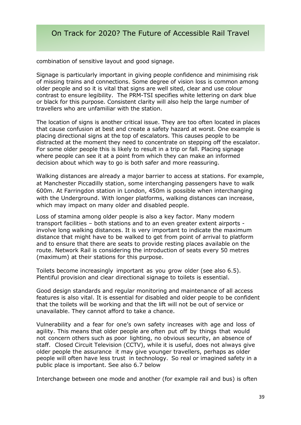combination of sensitive layout and good signage.

Signage is particularly important in giving people confidence and minimising risk of missing trains and connections. Some degree of vision loss is common among older people and so it is vital that signs are well sited, clear and use colour contrast to ensure legibility. The PRM-TSI specifies white lettering on dark blue or black for this purpose. Consistent clarity will also help the large number of travellers who are unfamiliar with the station.

The location of signs is another critical issue. They are too often located in places that cause confusion at best and create a safety hazard at worst. One example is placing directional signs at the top of escalators. This causes people to be distracted at the moment they need to concentrate on stepping off the escalator. For some older people this is likely to result in a trip or fall. Placing signage where people can see it at a point from which they can make an informed decision about which way to go is both safer and more reassuring.

Walking distances are already a major barrier to access at stations. For example, at Manchester Piccadilly station, some interchanging passengers have to walk 600m. At Farringdon station in London, 450m is possible when interchanging with the Underground. With longer platforms, walking distances can increase, which may impact on many older and disabled people.

Loss of stamina among older people is also a key factor. Many modern transport facilities – both stations and to an even greater extent airports involve long walking distances. It is very important to indicate the maximum distance that might have to be walked to get from point of arrival to platform and to ensure that there are seats to provide resting places available on the route. Network Rail is considering the introduction of seats every 50 metres (maximum) at their stations for this purpose.

Toilets become increasingly important as you grow older (see also 6.5). Plentiful provision and clear directional signage to toilets is essential.

Good design standards and regular monitoring and maintenance of all access features is also vital. It is essential for disabled and older people to be confident that the toilets will be working and that the lift will not be out of service or unavailable. They cannot afford to take a chance.

Vulnerability and a fear for one's own safety increases with age and loss of agility. This means that older people are often put off by things that would not concern others such as poor lighting, no obvious security, an absence of staff. Closed Circuit Television (CCTV), while it is useful, does not always give older people the assurance it may give younger travellers, perhaps as older people will often have less trust in technology. So real or imagined safety in a public place is important. See also 6.7 below

Interchange between one mode and another (for example rail and bus) is often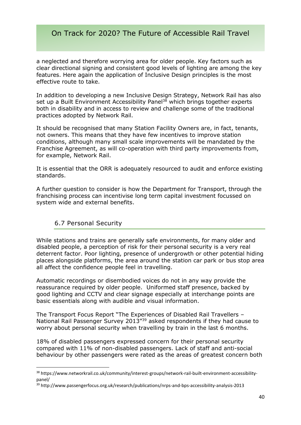a neglected and therefore worrying area for older people. Key factors such as clear directional signing and consistent good levels of lighting are among the key features. Here again the application of Inclusive Design principles is the most effective route to take.

In addition to developing a new Inclusive Design Strategy, Network Rail has also set up a Built Environment Accessibility Panel<sup>38</sup> which brings together experts both in disability and in access to review and challenge some of the traditional practices adopted by Network Rail.

It should be recognised that many Station Facility Owners are, in fact, tenants, not owners. This means that they have few incentives to improve station conditions, although many small scale improvements will be mandated by the Franchise Agreement, as will co-operation with third party improvements from, for example, Network Rail.

It is essential that the ORR is adequately resourced to audit and enforce existing standards.

A further question to consider is how the Department for Transport, through the franchising process can incentivise long term capital investment focussed on system wide and external benefits.

#### 6.7 Personal Security

**.** 

While stations and trains are generally safe environments, for many older and disabled people, a perception of risk for their personal security is a very real deterrent factor. Poor lighting, presence of undergrowth or other potential hiding places alongside platforms, the area around the station car park or bus stop area all affect the confidence people feel in travelling.

Automatic recordings or disembodied voices do not in any way provide the reassurance required by older people. Uniformed staff presence, backed by good lighting and CCTV and clear signage especially at interchange points are basic essentials along with audible and visual information.

The Transport Focus Report "The Experiences of Disabled Rail Travellers – National Rail Passenger Survey 2013"<sup>39</sup> asked respondents if they had cause to worry about personal security when travelling by train in the last 6 months.

18% of disabled passengers expressed concern for their personal security compared with 11% of non-disabled passengers. Lack of staff and anti-social behaviour by other passengers were rated as the areas of greatest concern both

<sup>38</sup> https://www.networkrail.co.uk/community/interest-groups/network-rail-built-environment-accessibilitypanel/

<sup>39</sup> http://www.passengerfocus.org.uk/research/publications/nrps-and-bps-accessibility-analysis-2013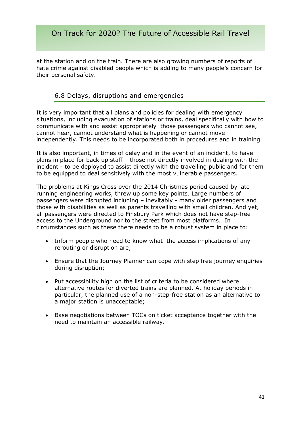at the station and on the train. There are also growing numbers of reports of hate crime against disabled people which is adding to many people's concern for their personal safety.

#### 6.8 Delays, disruptions and emergencies

It is very important that all plans and policies for dealing with emergency situations, including evacuation of stations or trains, deal specifically with how to communicate with and assist appropriately those passengers who cannot see, cannot hear, cannot understand what is happening or cannot move independently. This needs to be incorporated both in procedures and in training.

It is also important, in times of delay and in the event of an incident, to have plans in place for back up staff – those not directly involved in dealing with the incident - to be deployed to assist directly with the travelling public and for them to be equipped to deal sensitively with the most vulnerable passengers.

The problems at Kings Cross over the 2014 Christmas period caused by late running engineering works, threw up some key points. Large numbers of passengers were disrupted including – inevitably - many older passengers and those with disabilities as well as parents travelling with small children. And yet, all passengers were directed to Finsbury Park which does not have step-free access to the Underground nor to the street from most platforms. In circumstances such as these there needs to be a robust system in place to:

- Inform people who need to know what the access implications of any rerouting or disruption are;
- Ensure that the Journey Planner can cope with step free journey enquiries during disruption;
- Put accessibility high on the list of criteria to be considered where alternative routes for diverted trains are planned. At holiday periods in particular, the planned use of a non-step-free station as an alternative to a major station is unacceptable;
- Base negotiations between TOCs on ticket acceptance together with the need to maintain an accessible railway.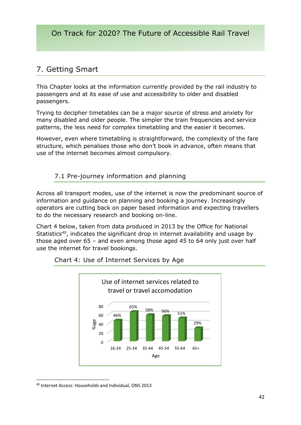# 7. Getting Smart

This Chapter looks at the information currently provided by the rail industry to passengers and at its ease of use and accessibility to older and disabled passengers.

Trying to decipher timetables can be a major source of stress and anxiety for many disabled and older people. The simpler the train frequencies and service patterns, the less need for complex timetabling and the easier it becomes.

However, even where timetabling is straightforward, the complexity of the fare structure, which penalises those who don't book in advance, often means that use of the internet becomes almost compulsory.

#### 7.1 Pre-journey information and planning

Across all transport modes, use of the internet is now the predominant source of information and guidance on planning and booking a journey. Increasingly operators are cutting back on paper based information and expecting travellers to do the necessary research and booking on-line.

Chart 4 below, taken from data produced in 2013 by the Office for National Statistics<sup>40</sup>, indicates the significant drop in internet availability and usage by those aged over 65 – and even among those aged 45 to 64 only just over half use the internet for travel bookings.



#### Chart 4: Use of Internet Services by Age

<sup>40</sup> Internet Access: Households and Individual, ONS 2013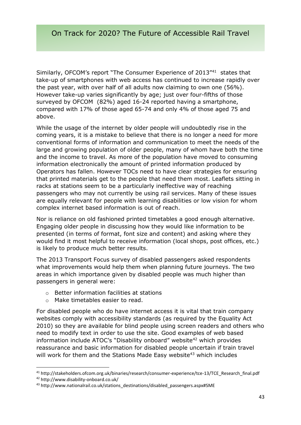Similarly, OFCOM's report "The Consumer Experience of 2013"<sup>41</sup> states that take-up of smartphones with web access has continued to increase rapidly over the past year, with over half of all adults now claiming to own one (56%). However take-up varies significantly by age; just over four-fifths of those surveyed by OFCOM (82%) aged 16-24 reported having a smartphone, compared with 17% of those aged 65-74 and only 4% of those aged 75 and above.

While the usage of the internet by older people will undoubtedly rise in the coming years, it is a mistake to believe that there is no longer a need for more conventional forms of information and communication to meet the needs of the large and growing population of older people, many of whom have both the time and the income to travel. As more of the population have moved to consuming information electronically the amount of printed information produced by Operators has fallen. However TOCs need to have clear strategies for ensuring that printed materials get to the people that need them most. Leaflets sitting in racks at stations seem to be a particularly ineffective way of reaching passengers who may not currently be using rail services. Many of these issues are equally relevant for people with learning disabilities or low vision for whom complex internet based information is out of reach.

Nor is reliance on old fashioned printed timetables a good enough alternative. Engaging older people in discussing how they would like information to be presented (in terms of format, font size and content) and asking where they would find it most helpful to receive information (local shops, post offices, etc.) is likely to produce much better results.

The 2013 Transport Focus survey of disabled passengers asked respondents what improvements would help them when planning future journeys. The two areas in which importance given by disabled people was much higher than passengers in general were:

- o Better information facilities at stations
- o Make timetables easier to read.

For disabled people who do have internet access it is vital that train company websites comply with accessibility standards (as required by the Equality Act 2010) so they are available for blind people using screen readers and others who need to modify text in order to use the site. Good examples of web based information include ATOC's "Disability onboard" website<sup>42</sup> which provides reassurance and basic information for disabled people uncertain if train travel will work for them and the Stations Made Easy website<sup>43</sup> which includes

<sup>41</sup> http://stakeholders.ofcom.org.uk/binaries/research/consumer-experience/tce-13/TCE\_Research\_final.pdf

<sup>42</sup> http://www.disability-onboard.co.uk/

<sup>43</sup> http://www.nationalrail.co.uk/stations\_destinations/disabled\_passengers.aspx#SME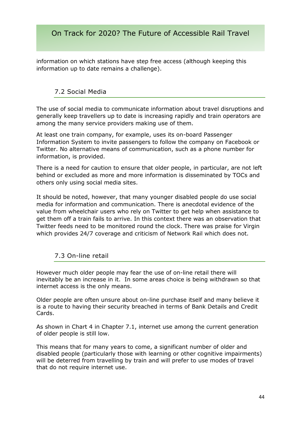information on which stations have step free access (although keeping this information up to date remains a challenge).

#### 7.2 Social Media

The use of social media to communicate information about travel disruptions and generally keep travellers up to date is increasing rapidly and train operators are among the many service providers making use of them.

At least one train company, for example, uses its on-board Passenger Information System to invite passengers to follow the company on Facebook or Twitter. No alternative means of communication, such as a phone number for information, is provided.

There is a need for caution to ensure that older people, in particular, are not left behind or excluded as more and more information is disseminated by TOCs and others only using social media sites.

It should be noted, however, that many younger disabled people do use social media for information and communication. There is anecdotal evidence of the value from wheelchair users who rely on Twitter to get help when assistance to get them off a train fails to arrive. In this context there was an observation that Twitter feeds need to be monitored round the clock. There was praise for Virgin which provides 24/7 coverage and criticism of Network Rail which does not.

#### 7.3 On-line retail

However much older people may fear the use of on-line retail there will inevitably be an increase in it. In some areas choice is being withdrawn so that internet access is the only means.

Older people are often unsure about on-line purchase itself and many believe it is a route to having their security breached in terms of Bank Details and Credit Cards.

As shown in Chart 4 in Chapter 7.1, internet use among the current generation of older people is still low.

This means that for many years to come, a significant number of older and disabled people (particularly those with learning or other cognitive impairments) will be deterred from travelling by train and will prefer to use modes of travel that do not require internet use.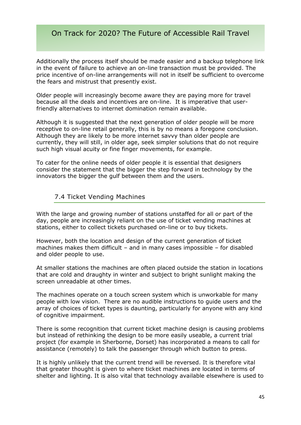Additionally the process itself should be made easier and a backup telephone link in the event of failure to achieve an on-line transaction must be provided. The price incentive of on-line arrangements will not in itself be sufficient to overcome the fears and mistrust that presently exist.

Older people will increasingly become aware they are paying more for travel because all the deals and incentives are on-line. It is imperative that userfriendly alternatives to internet domination remain available.

Although it is suggested that the next generation of older people will be more receptive to on-line retail generally, this is by no means a foregone conclusion. Although they are likely to be more internet savvy than older people are currently, they will still, in older age, seek simpler solutions that do not require such high visual acuity or fine finger movements, for example.

To cater for the online needs of older people it is essential that designers consider the statement that the bigger the step forward in technology by the innovators the bigger the gulf between them and the users.

#### 7.4 Ticket Vending Machines

With the large and growing number of stations unstaffed for all or part of the day, people are increasingly reliant on the use of ticket vending machines at stations, either to collect tickets purchased on-line or to buy tickets.

However, both the location and design of the current generation of ticket machines makes them difficult – and in many cases impossible – for disabled and older people to use.

At smaller stations the machines are often placed outside the station in locations that are cold and draughty in winter and subject to bright sunlight making the screen unreadable at other times.

The machines operate on a touch screen system which is unworkable for many people with low vision. There are no audible instructions to guide users and the array of choices of ticket types is daunting, particularly for anyone with any kind of cognitive impairment.

There is some recognition that current ticket machine design is causing problems but instead of rethinking the design to be more easily useable, a current trial project (for example in Sherborne, Dorset) has incorporated a means to call for assistance (remotely) to talk the passenger through which button to press.

It is highly unlikely that the current trend will be reversed. It is therefore vital that greater thought is given to where ticket machines are located in terms of shelter and lighting. It is also vital that technology available elsewhere is used to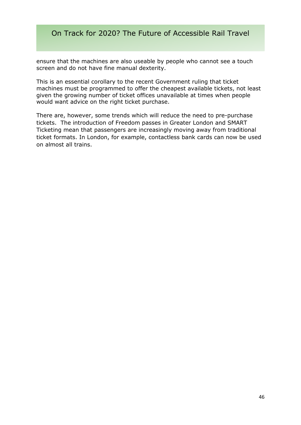ensure that the machines are also useable by people who cannot see a touch screen and do not have fine manual dexterity.

This is an essential corollary to the recent Government ruling that ticket machines must be programmed to offer the cheapest available tickets, not least given the growing number of ticket offices unavailable at times when people would want advice on the right ticket purchase.

There are, however, some trends which will reduce the need to pre-purchase tickets. The introduction of Freedom passes in Greater London and SMART Ticketing mean that passengers are increasingly moving away from traditional ticket formats. In London, for example, contactless bank cards can now be used on almost all trains.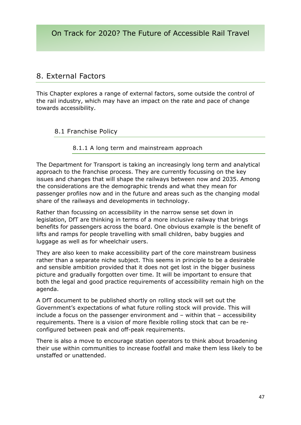# 8. External Factors

This Chapter explores a range of external factors, some outside the control of the rail industry, which may have an impact on the rate and pace of change towards accessibility.

#### 8.1 Franchise Policy

#### 8.1.1 A long term and mainstream approach

The Department for Transport is taking an increasingly long term and analytical approach to the franchise process. They are currently focussing on the key issues and changes that will shape the railways between now and 2035. Among the considerations are the demographic trends and what they mean for passenger profiles now and in the future and areas such as the changing modal share of the railways and developments in technology.

Rather than focussing on accessibility in the narrow sense set down in legislation, DfT are thinking in terms of a more inclusive railway that brings benefits for passengers across the board. One obvious example is the benefit of lifts and ramps for people travelling with small children, baby buggies and luggage as well as for wheelchair users.

They are also keen to make accessibility part of the core mainstream business rather than a separate niche subject. This seems in principle to be a desirable and sensible ambition provided that it does not get lost in the bigger business picture and gradually forgotten over time. It will be important to ensure that both the legal and good practice requirements of accessibility remain high on the agenda.

A DfT document to be published shortly on rolling stock will set out the Government's expectations of what future rolling stock will provide. This will include a focus on the passenger environment and – within that – accessibility requirements. There is a vision of more flexible rolling stock that can be reconfigured between peak and off-peak requirements.

There is also a move to encourage station operators to think about broadening their use within communities to increase footfall and make them less likely to be unstaffed or unattended.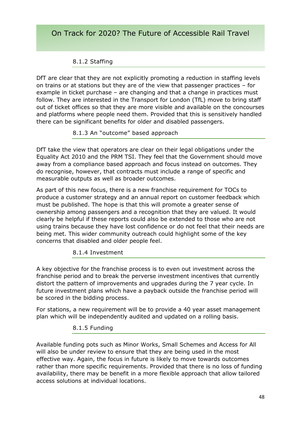#### 8.1.2 Staffing

DfT are clear that they are not explicitly promoting a reduction in staffing levels on trains or at stations but they are of the view that passenger practices – for example in ticket purchase – are changing and that a change in practices must follow. They are interested in the Transport for London (TfL) move to bring staff out of ticket offices so that they are more visible and available on the concourses and platforms where people need them. Provided that this is sensitively handled there can be significant benefits for older and disabled passengers.

#### 8.1.3 An "outcome" based approach

DfT take the view that operators are clear on their legal obligations under the Equality Act 2010 and the PRM TSI. They feel that the Government should move away from a compliance based approach and focus instead on outcomes. They do recognise, however, that contracts must include a range of specific and measurable outputs as well as broader outcomes.

As part of this new focus, there is a new franchise requirement for TOCs to produce a customer strategy and an annual report on customer feedback which must be published. The hope is that this will promote a greater sense of ownership among passengers and a recognition that they are valued. It would clearly be helpful if these reports could also be extended to those who are not using trains because they have lost confidence or do not feel that their needs are being met. This wider community outreach could highlight some of the key concerns that disabled and older people feel.

#### 8.1.4 Investment

A key objective for the franchise process is to even out investment across the franchise period and to break the perverse investment incentives that currently distort the pattern of improvements and upgrades during the 7 year cycle. In future investment plans which have a payback outside the franchise period will be scored in the bidding process.

For stations, a new requirement will be to provide a 40 year asset management plan which will be independently audited and updated on a rolling basis.

#### 8.1.5 Funding

Available funding pots such as Minor Works, Small Schemes and Access for All will also be under review to ensure that they are being used in the most effective way. Again, the focus in future is likely to move towards outcomes rather than more specific requirements. Provided that there is no loss of funding availability, there may be benefit in a more flexible approach that allow tailored access solutions at individual locations.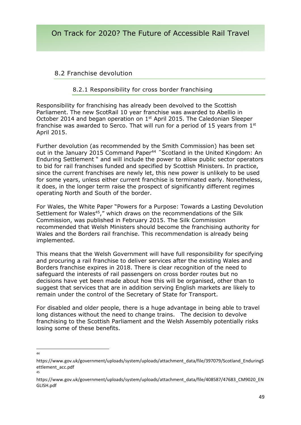#### 8.2 Franchise devolution

#### 8.2.1 Responsibility for cross border franchising

Responsibility for franchising has already been devolved to the Scottish Parliament. The new ScotRail 10 year franchise was awarded to Abellio in October 2014 and began operation on 1<sup>st</sup> April 2015. The Caledonian Sleeper franchise was awarded to Serco. That will run for a period of 15 years from  $1<sup>st</sup>$ April 2015.

Further devolution (as recommended by the Smith Commission) has been set out in the January 2015 Command Paper<sup>44</sup> "Scotland in the United Kingdom: An Enduring Settlement " and will include the power to allow public sector operators to bid for rail franchises funded and specified by Scottish Ministers. In practice, since the current franchises are newly let, this new power is unlikely to be used for some years, unless either current franchise is terminated early. Nonetheless, it does, in the longer term raise the prospect of significantly different regimes operating North and South of the border.

For Wales, the White Paper "Powers for a Purpose: Towards a Lasting Devolution Settlement for Wales<sup>45</sup>," which draws on the recommendations of the Silk Commission, was published in February 2015. The Silk Commission recommended that Welsh Ministers should become the franchising authority for Wales and the Borders rail franchise. This recommendation is already being implemented.

This means that the Welsh Government will have full responsibility for specifying and procuring a rail franchise to deliver services after the existing Wales and Borders franchise expires in 2018. There is clear recognition of the need to safeguard the interests of rail passengers on cross border routes but no decisions have yet been made about how this will be organised, other than to suggest that services that are in addition serving English markets are likely to remain under the control of the Secretary of State for Transport.

For disabled and older people, there is a huge advantage in being able to travel long distances without the need to change trains. The decision to devolve franchising to the Scottish Parliament and the Welsh Assembly potentially risks losing some of these benefits.

 $\frac{1}{44}$ 

https://www.gov.uk/government/uploads/system/uploads/attachment\_data/file/397079/Scotland\_EnduringS ettlement\_acc.pdf 45

https://www.gov.uk/government/uploads/system/uploads/attachment\_data/file/408587/47683\_CM9020\_EN GLISH.pdf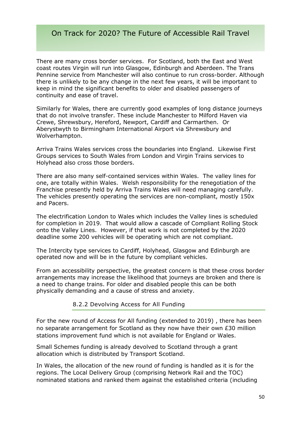There are many cross border services. For Scotland, both the East and West coast routes Virgin will run into Glasgow, Edinburgh and Aberdeen. The Trans Pennine service from Manchester will also continue to run cross-border. Although there is unlikely to be any change in the next few years, it will be important to keep in mind the significant benefits to older and disabled passengers of continuity and ease of travel.

Similarly for Wales, there are currently good examples of long distance journeys that do not involve transfer. These include Manchester to Milford Haven via Crewe, Shrewsbury, Hereford, Newport, Cardiff and Carmarthen. Or Aberystwyth to Birmingham International Airport via Shrewsbury and Wolverhampton.

Arriva Trains Wales services cross the boundaries into England. Likewise First Groups services to South Wales from London and Virgin Trains services to Holyhead also cross those borders.

There are also many self-contained services within Wales. The valley lines for one, are totally within Wales. Welsh responsibility for the renegotiation of the Franchise presently held by Arriva Trains Wales will need managing carefully. The vehicles presently operating the services are non-compliant, mostly 150x and Pacers.

The electrification London to Wales which includes the Valley lines is scheduled for completion in 2019. That would allow a cascade of Compliant Rolling Stock onto the Valley Lines. However, if that work is not completed by the 2020 deadline some 200 vehicles will be operating which are not compliant.

The Intercity type services to Cardiff, Holyhead, Glasgow and Edinburgh are operated now and will be in the future by compliant vehicles.

From an accessibility perspective, the greatest concern is that these cross border arrangements may increase the likelihood that journeys are broken and there is a need to change trains. For older and disabled people this can be both physically demanding and a cause of stress and anxiety.

#### 8.2.2 Devolving Access for All Funding

For the new round of Access for All funding (extended to 2019) , there has been no separate arrangement for Scotland as they now have their own £30 million stations improvement fund which is not available for England or Wales.

Small Schemes funding is already devolved to Scotland through a grant allocation which is distributed by Transport Scotland.

In Wales, the allocation of the new round of funding is handled as it is for the regions. The Local Delivery Group (comprising Network Rail and the TOC) nominated stations and ranked them against the established criteria (including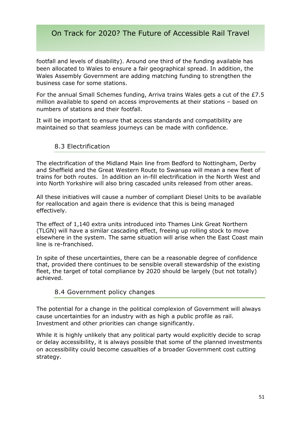footfall and levels of disability). Around one third of the funding available has been allocated to Wales to ensure a fair geographical spread. In addition, the Wales Assembly Government are adding matching funding to strengthen the business case for some stations.

For the annual Small Schemes funding, Arriva trains Wales gets a cut of the £7.5 million available to spend on access improvements at their stations – based on numbers of stations and their footfall.

It will be important to ensure that access standards and compatibility are maintained so that seamless journeys can be made with confidence.

#### 8.3 Electrification

The electrification of the Midland Main line from Bedford to Nottingham, Derby and Sheffield and the Great Western Route to Swansea will mean a new fleet of trains for both routes. In addition an in-fill electrification in the North West and into North Yorkshire will also bring cascaded units released from other areas.

All these initiatives will cause a number of compliant Diesel Units to be available for reallocation and again there is evidence that this is being managed effectively.

The effect of 1,140 extra units introduced into Thames Link Great Northern (TLGN) will have a similar cascading effect, freeing up rolling stock to move elsewhere in the system. The same situation will arise when the East Coast main line is re-franchised.

In spite of these uncertainties, there can be a reasonable degree of confidence that, provided there continues to be sensible overall stewardship of the existing fleet, the target of total compliance by 2020 should be largely (but not totally) achieved.

#### 8.4 Government policy changes

The potential for a change in the political complexion of Government will always cause uncertainties for an industry with as high a public profile as rail. Investment and other priorities can change significantly.

While it is highly unlikely that any political party would explicitly decide to scrap or delay accessibility, it is always possible that some of the planned investments on accessibility could become casualties of a broader Government cost cutting strategy.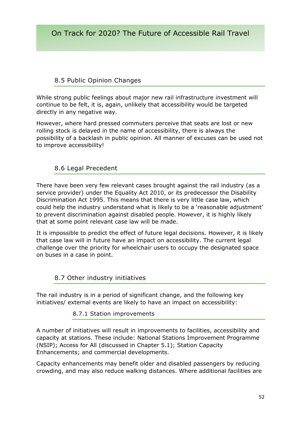## 8.5 Public Opinion Changes

While strong public feelings about major new rail infrastructure investment will continue to be felt, it is, again, unlikely that accessibility would be targeted directly in any negative way.

However, where hard pressed commuters perceive that seats are lost or new rolling stock is delayed in the name of accessibility, there is always the possibility of a backlash in public opinion. All manner of excuses can be used not to improve accessibility!

#### 8.6 Legal Precedent

There have been very few relevant cases brought against the rail industry (as a service provider) under the Equality Act 2010, or its predecessor the Disability Discrimination Act 1995. This means that there is very little case law, which could help the industry understand what is likely to be a 'reasonable adjustment' to prevent discrimination against disabled people. However, it is highly likely that at some point relevant case law will be made.

It is impossible to predict the effect of future legal decisions. However, it is likely that case law will in future have an impact on accessibility. The current legal challenge over the priority for wheelchair users to occupy the designated space on buses in a case in point.

#### 8.7 Other industry initiatives

The rail industry is in a period of significant change, and the following key initiatives/ external events are likely to have an impact on accessibility:

#### 8.7.1 Station improvements

A number of initiatives will result in improvements to facilities, accessibility and capacity at stations. These include: National Stations Improvement Programme (NSIP); Access for All (discussed in Chapter 5.1); Station Capacity Enhancements; and commercial developments.

Capacity enhancements may benefit older and disabled passengers by reducing crowding, and may also reduce walking distances. Where additional facilities are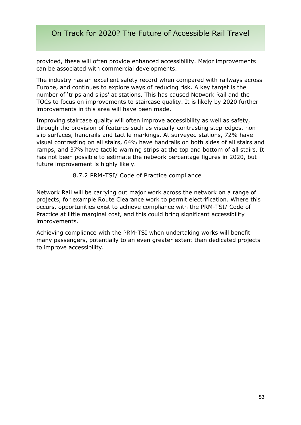provided, these will often provide enhanced accessibility. Major improvements can be associated with commercial developments.

The industry has an excellent safety record when compared with railways across Europe, and continues to explore ways of reducing risk. A key target is the number of 'trips and slips' at stations. This has caused Network Rail and the TOCs to focus on improvements to staircase quality. It is likely by 2020 further improvements in this area will have been made.

Improving staircase quality will often improve accessibility as well as safety, through the provision of features such as visually-contrasting step-edges, nonslip surfaces, handrails and tactile markings. At surveyed stations, 72% have visual contrasting on all stairs, 64% have handrails on both sides of all stairs and ramps, and 37% have tactile warning strips at the top and bottom of all stairs. It has not been possible to estimate the network percentage figures in 2020, but future improvement is highly likely.

#### 8.7.2 PRM-TSI/ Code of Practice compliance

Network Rail will be carrying out major work across the network on a range of projects, for example Route Clearance work to permit electrification. Where this occurs, opportunities exist to achieve compliance with the PRM-TSI/ Code of Practice at little marginal cost, and this could bring significant accessibility improvements.

Achieving compliance with the PRM-TSI when undertaking works will benefit many passengers, potentially to an even greater extent than dedicated projects to improve accessibility.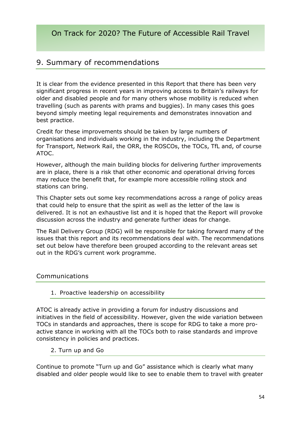# 9. Summary of recommendations

It is clear from the evidence presented in this Report that there has been very significant progress in recent years in improving access to Britain's railways for older and disabled people and for many others whose mobility is reduced when travelling (such as parents with prams and buggies). In many cases this goes beyond simply meeting legal requirements and demonstrates innovation and best practice.

Credit for these improvements should be taken by large numbers of organisations and individuals working in the industry, including the Department for Transport, Network Rail, the ORR, the ROSCOs, the TOCs, TfL and, of course ATOC.

However, although the main building blocks for delivering further improvements are in place, there is a risk that other economic and operational driving forces may reduce the benefit that, for example more accessible rolling stock and stations can bring.

This Chapter sets out some key recommendations across a range of policy areas that could help to ensure that the spirit as well as the letter of the law is delivered. It is not an exhaustive list and it is hoped that the Report will provoke discussion across the industry and generate further ideas for change.

The Rail Delivery Group (RDG) will be responsible for taking forward many of the issues that this report and its recommendations deal with. The recommendations set out below have therefore been grouped according to the relevant areas set out in the RDG's current work programme.

#### Communications

#### 1. Proactive leadership on accessibility

ATOC is already active in providing a forum for industry discussions and initiatives in the field of accessibility. However, given the wide variation between TOCs in standards and approaches, there is scope for RDG to take a more proactive stance in working with all the TOCs both to raise standards and improve consistency in policies and practices.

#### 2. Turn up and Go

Continue to promote "Turn up and Go" assistance which is clearly what many disabled and older people would like to see to enable them to travel with greater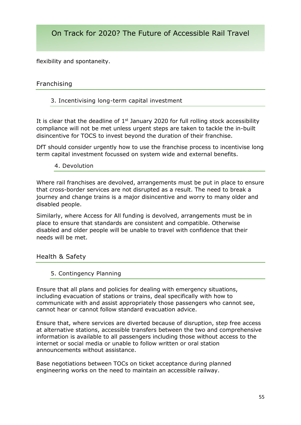flexibility and spontaneity.

#### Franchising

#### 3. Incentivising long-term capital investment

It is clear that the deadline of  $1<sup>st</sup>$  January 2020 for full rolling stock accessibility compliance will not be met unless urgent steps are taken to tackle the in-built disincentive for TOCS to invest beyond the duration of their franchise.

DfT should consider urgently how to use the franchise process to incentivise long term capital investment focussed on system wide and external benefits.

#### 4. Devolution

Where rail franchises are devolved, arrangements must be put in place to ensure that cross-border services are not disrupted as a result. The need to break a journey and change trains is a major disincentive and worry to many older and disabled people.

Similarly, where Access for All funding is devolved, arrangements must be in place to ensure that standards are consistent and compatible. Otherwise disabled and older people will be unable to travel with confidence that their needs will be met.

Health & Safety

#### 5. Contingency Planning

Ensure that all plans and policies for dealing with emergency situations, including evacuation of stations or trains, deal specifically with how to communicate with and assist appropriately those passengers who cannot see, cannot hear or cannot follow standard evacuation advice.

Ensure that, where services are diverted because of disruption, step free access at alternative stations, accessible transfers between the two and comprehensive information is available to all passengers including those without access to the internet or social media or unable to follow written or oral station announcements without assistance.

Base negotiations between TOCs on ticket acceptance during planned engineering works on the need to maintain an accessible railway.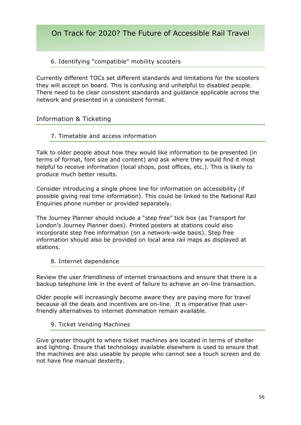#### 6. Identifying "compatible" mobility scooters

Currently different TOCs set different standards and limitations for the scooters they will accept on board. This is confusing and unhelpful to disabled people. There need to be clear consistent standards and guidance applicable across the network and presented in a consistent format.

#### Information & Ticketing

#### 7. Timetable and access information

Talk to older people about how they would like information to be presented (in terms of format, font size and content) and ask where they would find it most helpful to receive information (local shops, post offices, etc.). This is likely to produce much better results.

Consider introducing a single phone line for information on accessibility (if possible giving real time information). This could be linked to the National Rail Enquiries phone number or provided separately.

The Journey Planner should include a "step free" tick box (as Transport for London's Journey Planner does). Printed posters at stations could also incorporate step free information (on a network-wide basis). Step free information should also be provided on local area rail maps as displayed at stations.

#### 8. Internet dependence

Review the user friendliness of internet transactions and ensure that there is a backup telephone link in the event of failure to achieve an on-line transaction.

Older people will increasingly become aware they are paying more for travel because all the deals and incentives are on-line. It is imperative that userfriendly alternatives to internet domination remain available.

#### 9. Ticket Vending Machines

Give greater thought to where ticket machines are located in terms of shelter and lighting. Ensure that technology available elsewhere is used to ensure that the machines are also useable by people who cannot see a touch screen and do not have fine manual dexterity.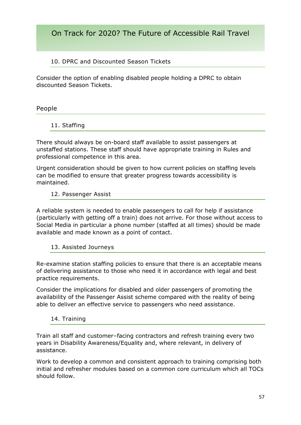#### 10. DPRC and Discounted Season Tickets

Consider the option of enabling disabled people holding a DPRC to obtain discounted Season Tickets.

#### People

#### 11. Staffing

There should always be on-board staff available to assist passengers at unstaffed stations. These staff should have appropriate training in Rules and professional competence in this area.

Urgent consideration should be given to how current policies on staffing levels can be modified to ensure that greater progress towards accessibility is maintained.

#### 12. Passenger Assist

A reliable system is needed to enable passengers to call for help if assistance (particularly with getting off a train) does not arrive. For those without access to Social Media in particular a phone number (staffed at all times) should be made available and made known as a point of contact.

#### 13. Assisted Journeys

Re-examine station staffing policies to ensure that there is an acceptable means of delivering assistance to those who need it in accordance with legal and best practice requirements.

Consider the implications for disabled and older passengers of promoting the availability of the Passenger Assist scheme compared with the reality of being able to deliver an effective service to passengers who need assistance.

#### 14. Training

Train all staff and customer–facing contractors and refresh training every two years in Disability Awareness/Equality and, where relevant, in delivery of assistance.

Work to develop a common and consistent approach to training comprising both initial and refresher modules based on a common core curriculum which all TOCs should follow.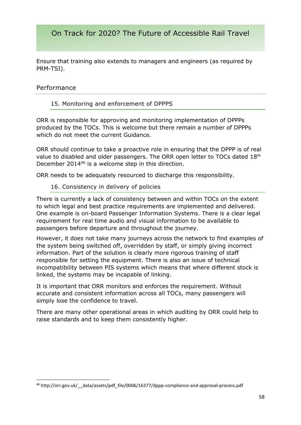Ensure that training also extends to managers and engineers (as required by PRM-TSI).

#### Performance

**.** 

#### 15. Monitoring and enforcement of DPPPS

ORR is responsible for approving and monitoring implementation of DPPPs produced by the TOCs. This is welcome but there remain a number of DPPPs which do not meet the current Guidance.

ORR should continue to take a proactive role in ensuring that the DPPP is of real value to disabled and older passengers. The ORR open letter to TOCs dated 18th December 2014<sup>46</sup> is a welcome step in this direction.

ORR needs to be adequately resourced to discharge this responsibility.

#### 16. Consistency in delivery of policies

There is currently a lack of consistency between and within TOCs on the extent to which legal and best practice requirements are implemented and delivered. One example is on-board Passenger Information Systems. There is a clear legal requirement for real time audio and visual information to be available to passengers before departure and throughout the journey.

However, it does not take many journeys across the network to find examples of the system being switched off, overridden by staff, or simply giving incorrect information. Part of the solution is clearly more rigorous training of staff responsible for setting the equipment. There is also an issue of technical incompatibility between PIS systems which means that where different stock is linked, the systems may be incapable of linking.

It is important that ORR monitors and enforces the requirement. Without accurate and consistent information across all TOCs, many passengers will simply lose the confidence to travel.

There are many other operational areas in which auditing by ORR could help to raise standards and to keep them consistently higher.

<sup>46</sup> http://orr.gov.uk/\_\_data/assets/pdf\_file/0006/16377/dppp-compliance-and-approval-process.pdf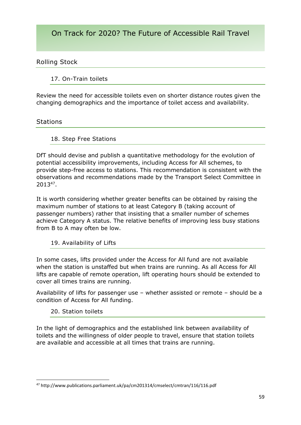#### Rolling Stock

#### 17. On-Train toilets

Review the need for accessible toilets even on shorter distance routes given the changing demographics and the importance of toilet access and availability.

#### **Stations**

#### 18. Step Free Stations

DfT should devise and publish a quantitative methodology for the evolution of potential accessibility improvements, including Access for All schemes, to provide step-free access to stations. This recommendation is consistent with the observations and recommendations made by the Transport Select Committee in 2013<sup>47</sup> .

It is worth considering whether greater benefits can be obtained by raising the maximum number of stations to at least Category B (taking account of passenger numbers) rather that insisting that a smaller number of schemes achieve Category A status. The relative benefits of improving less busy stations from B to A may often be low.

#### 19. Availability of Lifts

In some cases, lifts provided under the Access for All fund are not available when the station is unstaffed but when trains are running. As all Access for All lifts are capable of remote operation, lift operating hours should be extended to cover all times trains are running.

Availability of lifts for passenger use – whether assisted or remote – should be a condition of Access for All funding.

#### 20. Station toilets

**.** 

In the light of demographics and the established link between availability of toilets and the willingness of older people to travel, ensure that station toilets are available and accessible at all times that trains are running.

<sup>47</sup> http://www.publications.parliament.uk/pa/cm201314/cmselect/cmtran/116/116.pdf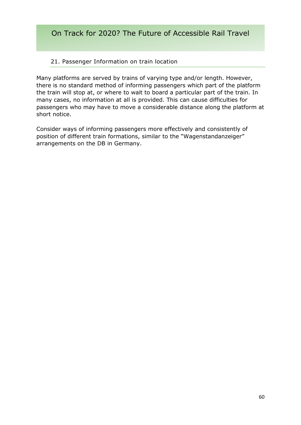#### 21. Passenger Information on train location

Many platforms are served by trains of varying type and/or length. However, there is no standard method of informing passengers which part of the platform the train will stop at, or where to wait to board a particular part of the train. In many cases, no information at all is provided. This can cause difficulties for passengers who may have to move a considerable distance along the platform at short notice.

Consider ways of informing passengers more effectively and consistently of position of different train formations, similar to the "Wagenstandanzeiger" arrangements on the DB in Germany.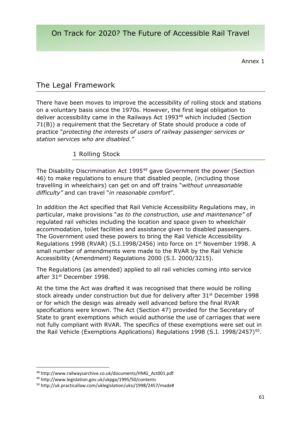Annex 1

# The Legal Framework

There have been moves to improve the accessibility of rolling stock and stations on a voluntary basis since the 1970s. However, the first legal obligation to deliver accessibility came in the Railways Act 1993<sup>48</sup> which included (Section 71(B)) a requirement that the Secretary of State should produce a code of practice "*protecting the interests of users of railway passenger services or station services who are disabled."*

#### 1 Rolling Stock

The Disability Discrimination Act 1995<sup>49</sup> gave Government the power (Section 46) to make regulations to ensure that disabled people, (including those travelling in wheelchairs) can get on and off trains "*without unreasonable difficulty"* and can travel "*in reasonable comfort*".

In addition the Act specified that Rail Vehicle Accessibility Regulations may, in particular, make provisions "*as to the construction, use and maintenance"* of regulated rail vehicles including the location and space given to wheelchair accommodation, toilet facilities and assistance given to disabled passengers. The Government used these powers to bring the Rail Vehicle Accessibility Regulations 1998 (RVAR) (S.I.1998/2456) into force on 1<sup>st</sup> November 1998. A small number of amendments were made to the RVAR by the Rail Vehicle Accessibility (Amendment) Regulations 2000 (S.I. 2000/3215).

The Regulations (as amended) applied to all rail vehicles coming into service after 31<sup>st</sup> December 1998.

At the time the Act was drafted it was recognised that there would be rolling stock already under construction but due for delivery after 31<sup>st</sup> December 1998 or for which the design was already well advanced before the final RVAR specifications were known. The Act (Section 47) provided for the Secretary of State to grant exemptions which would authorise the use of carriages that were not fully compliant with RVAR. The specifics of these exemptions were set out in the Rail Vehicle (Exemptions Applications) Regulations 1998 (S.I. 1998/2457)<sup>50</sup>.

<sup>48</sup> http://www.railwaysarchive.co.uk/documents/HMG\_Act001.pdf

<sup>49</sup> http://www.legislation.gov.uk/ukpga/1995/50/contents

<sup>50</sup> http://uk.practicallaw.com/uklegislation/uksi/1998/2457/made#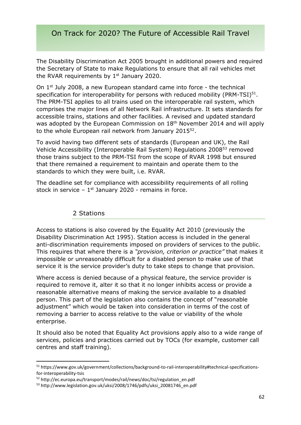The Disability Discrimination Act 2005 brought in additional powers and required the Secretary of State to make Regulations to ensure that all rail vehicles met the RVAR requirements by  $1<sup>st</sup>$  January 2020.

On  $1^{st}$  July 2008, a new European standard came into force - the technical specification for interoperability for persons with reduced mobility (PRM-TSI) $51$ . The PRM-TSI applies to all trains used on the interoperable rail system, which comprises the major lines of all Network Rail infrastructure. It sets standards for accessible trains, stations and other facilities. A revised and updated standard was adopted by the European Commission on 18<sup>th</sup> November 2014 and will apply to the whole European rail network from January 2015<sup>52</sup>.

To avoid having two different sets of standards (European and UK), the Rail Vehicle Accessibility (Interoperable Rail System) Regulations 2008<sup>53</sup> removed those trains subject to the PRM-TSI from the scope of RVAR 1998 but ensured that there remained a requirement to maintain and operate them to the standards to which they were built, i.e. RVAR.

The deadline set for compliance with accessibility requirements of all rolling stock in service  $-1$ <sup>st</sup> January 2020 - remains in force.

#### 2 Stations

**.** 

Access to stations is also covered by the Equality Act 2010 (previously the Disability Discrimination Act 1995). Station access is included in the general anti-discrimination requirements imposed on providers of services to the public. This requires that where there is a *"provision, criterion or practice"* that makes it impossible or unreasonably difficult for a disabled person to make use of that service it is the service provider's duty to take steps to change that provision.

Where access is denied because of a physical feature, the service provider is required to remove it, alter it so that it no longer inhibits access or provide a reasonable alternative means of making the service available to a disabled person. This part of the legislation also contains the concept of "reasonable adjustment" which would be taken into consideration in terms of the cost of removing a barrier to access relative to the value or viability of the whole enterprise.

It should also be noted that Equality Act provisions apply also to a wide range of services, policies and practices carried out by TOCs (for example, customer call centres and staff training).

<sup>51</sup> https://www.gov.uk/government/collections/background-to-rail-interoperability#technical-specificationsfor-interoperability-tsis

<sup>52</sup> http://ec.europa.eu/transport/modes/rail/news/doc/tsi/regulation\_en.pdf

<sup>53</sup> http://www.legislation.gov.uk/uksi/2008/1746/pdfs/uksi\_20081746\_en.pdf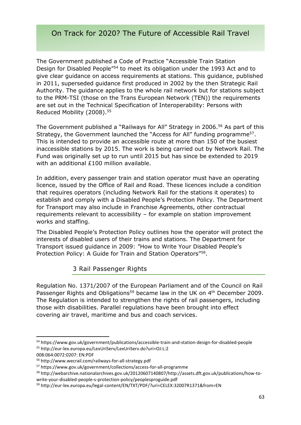The Government published a Code of Practice "Accessible Train Station Design for Disabled People"<sup>54</sup> to meet its obligation under the 1993 Act and to give clear guidance on access requirements at stations. This guidance, published in 2011, superseded guidance first produced in 2002 by the then Strategic Rail Authority. The guidance applies to the whole rail network but for stations subject to the PRM-TSI (those on the Trans European Network (TEN)) the requirements are set out in the Technical Specification of Interoperability: Persons with Reduced Mobility (2008).<sup>55</sup>

The Government published a "Railways for All" Strategy in 2006.<sup>56</sup> As part of this Strategy, the Government launched the "Access for All" funding programme<sup>57</sup>. This is intended to provide an accessible route at more than 150 of the busiest inaccessible stations by 2015. The work is being carried out by Network Rail. The Fund was originally set up to run until 2015 but has since be extended to 2019 with an additional £100 million available.

In addition, every passenger train and station operator must have an operating licence, issued by the Office of Rail and Road. These licences include a condition that requires operators (including Network Rail for the stations it operates) to establish and comply with a Disabled People's Protection Policy. The Department for Transport may also include in Franchise Agreements, other contractual requirements relevant to accessibility – for example on station improvement works and staffing.

The Disabled People's Protection Policy outlines how the operator will protect the interests of disabled users of their trains and stations. The Department for Transport issued guidance in 2009: "How to Write Your Disabled People's Protection Policy: A Guide for Train and Station Operators"<sup>58</sup>.

#### 3 Rail Passenger Rights

Regulation No. 1371/2007 of the European Parliament and of the Council on Rail Passenger Rights and Obligations<sup>59</sup> became law in the UK on 4<sup>th</sup> December 2009. The Regulation is intended to strengthen the rights of rail passengers, including those with disabilities. Parallel regulations have been brought into effect covering air travel, maritime and bus and coach services.

<sup>54</sup> https://www.gov.uk/government/publications/accessible-train-and-station-design-for-disabled-people <sup>55</sup> http://eur-lex.europa.eu/LexUriServ/LexUriServ.do?uri=OJ:L:2

<sup>008:064:0072:0207:</sup> EN:PDF

<sup>56</sup> http://www.wecrail.com/railways-for-all-strategy.pdf

<sup>57</sup> https://www.gov.uk/government/collections/access-for-all-programme

<sup>58</sup> http://webarchive.nationalarchives.gov.uk/20120607140807/http://assets.dft.gov.uk/publications/how-towrite-your-disabled-people-s-protection-policy/peoplesproguide.pdf

<sup>59</sup> http://eur-lex.europa.eu/legal-content/EN/TXT/PDF/?uri=CELEX:32007R1371&from=EN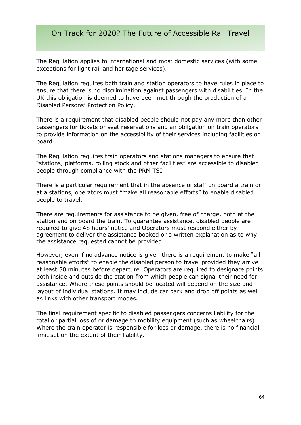The Regulation applies to international and most domestic services (with some exceptions for light rail and heritage services).

The Regulation requires both train and station operators to have rules in place to ensure that there is no discrimination against passengers with disabilities. In the UK this obligation is deemed to have been met through the production of a Disabled Persons' Protection Policy.

There is a requirement that disabled people should not pay any more than other passengers for tickets or seat reservations and an obligation on train operators to provide information on the accessibility of their services including facilities on board.

The Regulation requires train operators and stations managers to ensure that "stations, platforms, rolling stock and other facilities" are accessible to disabled people through compliance with the PRM TSI.

There is a particular requirement that in the absence of staff on board a train or at a stations, operators must "make all reasonable efforts" to enable disabled people to travel.

There are requirements for assistance to be given, free of charge, both at the station and on board the train. To guarantee assistance, disabled people are required to give 48 hours' notice and Operators must respond either by agreement to deliver the assistance booked or a written explanation as to why the assistance requested cannot be provided.

However, even if no advance notice is given there is a requirement to make "all reasonable efforts" to enable the disabled person to travel provided they arrive at least 30 minutes before departure. Operators are required to designate points both inside and outside the station from which people can signal their need for assistance. Where these points should be located will depend on the size and layout of individual stations. It may include car park and drop off points as well as links with other transport modes.

The final requirement specific to disabled passengers concerns liability for the total or partial loss of or damage to mobility equipment (such as wheelchairs). Where the train operator is responsible for loss or damage, there is no financial limit set on the extent of their liability.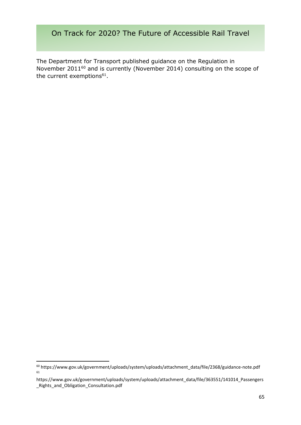The Department for Transport published guidance on the Regulation in November 2011<sup>60</sup> and is currently (November 2014) consulting on the scope of the current exemptions $61$ .

<sup>60</sup> https://www.gov.uk/government/uploads/system/uploads/attachment\_data/file/2368/guidance-note.pdf 61

https://www.gov.uk/government/uploads/system/uploads/attachment\_data/file/363551/141014\_Passengers \_Rights\_and\_Obligation\_Consultation.pdf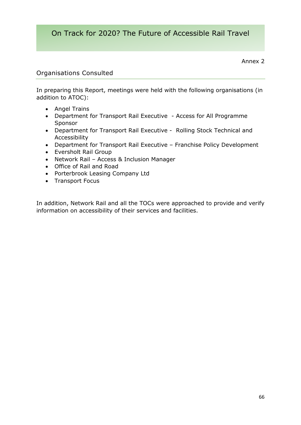Annex 2

#### Organisations Consulted

In preparing this Report, meetings were held with the following organisations (in addition to ATOC):

- Angel Trains
- Department for Transport Rail Executive Access for All Programme Sponsor
- Department for Transport Rail Executive Rolling Stock Technical and Accessibility
- Department for Transport Rail Executive Franchise Policy Development
- Eversholt Rail Group
- Network Rail Access & Inclusion Manager
- Office of Rail and Road
- Porterbrook Leasing Company Ltd
- Transport Focus

In addition, Network Rail and all the TOCs were approached to provide and verify information on accessibility of their services and facilities.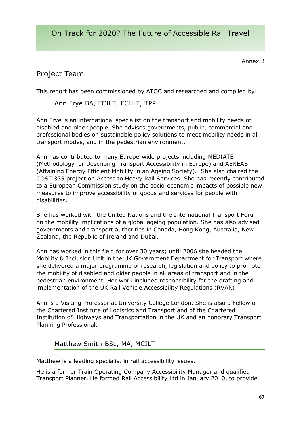Annex 3

# Project Team

This report has been commissioned by ATOC and researched and compiled by:

Ann Frye BA, FCILT, FCIHT, TPP

Ann Frye is an international specialist on the transport and mobility needs of disabled and older people. She advises governments, public, commercial and professional bodies on sustainable policy solutions to meet mobility needs in all transport modes, and in the pedestrian environment.

Ann has contributed to many Europe-wide projects including MEDIATE (Methodology for Describing Transport Accessibility in Europe) and AENEAS (Attaining Energy Efficient Mobility in an Ageing Society). She also chaired the COST 335 project on Access to Heavy Rail Services. She has recently contributed to a European Commission study on the socio-economic impacts of possible new measures to improve accessibility of goods and services for people with disabilities.

She has worked with the United Nations and the International Transport Forum on the mobility implications of a global ageing population. She has also advised governments and transport authorities in Canada, Hong Kong, Australia, New Zealand, the Republic of Ireland and Dubai.

Ann has worked in this field for over 30 years; until 2006 she headed the Mobility & Inclusion Unit in the UK Government Department for Transport where she delivered a major programme of research, legislation and policy to promote the mobility of disabled and older people in all areas of transport and in the pedestrian environment. Her work included responsibility for the drafting and implementation of the UK Rail Vehicle Accessibility Regulations (RVAR)

Ann is a Visiting Professor at University College London. She is also a Fellow of the Chartered Institute of Logistics and Transport and of the Chartered Institution of Highways and Transportation in the UK and an honorary Transport Planning Professional.

#### Matthew SmithBSc, MA, MCILT

Matthew is a leading specialist in rail accessibility issues.

He is a former Train Operating Company Accessibility Manager and qualified Transport Planner. He formed Rail Accessibility Ltd in January 2010, to provide